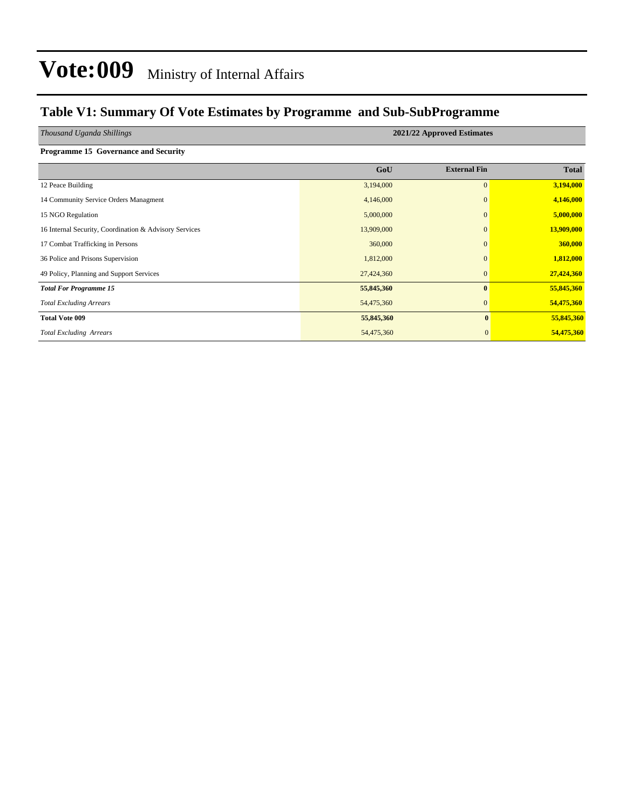### **Table V1: Summary Of Vote Estimates by Programme and Sub-SubProgramme**

*Thousand Uganda Shillings* **2021/22 Approved Estimates Programme 15 Governance and Security** 

|                                                        | GoU        | <b>External Fin</b> | <b>Total</b> |
|--------------------------------------------------------|------------|---------------------|--------------|
| 12 Peace Building                                      | 3,194,000  | $\mathbf{0}$        | 3,194,000    |
| 14 Community Service Orders Managment                  | 4,146,000  | $\mathbf{0}$        | 4,146,000    |
| 15 NGO Regulation                                      | 5,000,000  | $\mathbf{0}$        | 5,000,000    |
| 16 Internal Security, Coordination & Advisory Services | 13,909,000 | $\Omega$            | 13,909,000   |
| 17 Combat Trafficking in Persons                       | 360,000    | $\Omega$            | 360,000      |
| 36 Police and Prisons Supervision                      | 1,812,000  | $\Omega$            | 1,812,000    |
| 49 Policy, Planning and Support Services               | 27,424,360 | $\mathbf{0}$        | 27,424,360   |
| <b>Total For Programme 15</b>                          | 55,845,360 | $\mathbf{0}$        | 55,845,360   |
| <b>Total Excluding Arrears</b>                         | 54,475,360 | $\mathbf{0}$        | 54,475,360   |
| <b>Total Vote 009</b>                                  | 55,845,360 | $\mathbf{0}$        | 55,845,360   |
| <b>Total Excluding Arrears</b>                         | 54,475,360 | $\overline{0}$      | 54,475,360   |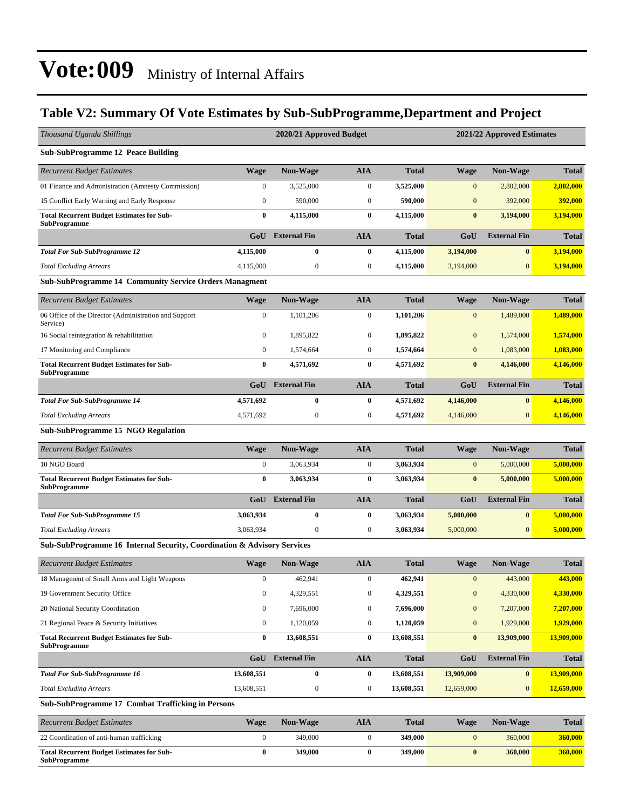### **Table V2: Summary Of Vote Estimates by Sub-SubProgramme,Department and Project**

| Thousand Uganda Shillings                                               |                  | 2020/21 Approved Budget |                  |              | 2021/22 Approved Estimates |                     |              |  |
|-------------------------------------------------------------------------|------------------|-------------------------|------------------|--------------|----------------------------|---------------------|--------------|--|
| <b>Sub-SubProgramme 12 Peace Building</b>                               |                  |                         |                  |              |                            |                     |              |  |
| Recurrent Budget Estimates                                              | <b>Wage</b>      | <b>Non-Wage</b>         | <b>AIA</b>       | <b>Total</b> | <b>Wage</b>                | <b>Non-Wage</b>     | <b>Total</b> |  |
| 01 Finance and Administration (Amnesty Commission)                      | $\boldsymbol{0}$ | 3,525,000               | $\boldsymbol{0}$ | 3,525,000    | $\mathbf{0}$               | 2,802,000           | 2,802,000    |  |
| 15 Conflict Early Warning and Early Response                            | $\boldsymbol{0}$ | 590,000                 | $\boldsymbol{0}$ | 590,000      | $\mathbf{0}$               | 392,000             | 392,000      |  |
| <b>Total Recurrent Budget Estimates for Sub-</b><br><b>SubProgramme</b> | $\bf{0}$         | 4,115,000               | $\bf{0}$         | 4,115,000    | $\bf{0}$                   | 3,194,000           | 3,194,000    |  |
|                                                                         | GoU              | <b>External Fin</b>     | <b>AIA</b>       | <b>Total</b> | GoU                        | <b>External Fin</b> | <b>Total</b> |  |
| <b>Total For Sub-SubProgramme 12</b>                                    | 4,115,000        | $\bf{0}$                | 0                | 4,115,000    | 3,194,000                  | $\bf{0}$            | 3,194,000    |  |
| <b>Total Excluding Arrears</b>                                          | 4,115,000        | $\boldsymbol{0}$        | $\boldsymbol{0}$ | 4,115,000    | 3,194,000                  | $\mathbf{0}$        | 3,194,000    |  |
| <b>Sub-SubProgramme 14 Community Service Orders Managment</b>           |                  |                         |                  |              |                            |                     |              |  |
| <b>Recurrent Budget Estimates</b>                                       | <b>Wage</b>      | Non-Wage                | <b>AIA</b>       | <b>Total</b> | <b>Wage</b>                | <b>Non-Wage</b>     | <b>Total</b> |  |
| 06 Office of the Director (Administration and Support<br>Service)       | $\mathbf{0}$     | 1,101,206               | $\boldsymbol{0}$ | 1,101,206    | $\mathbf{0}$               | 1,489,000           | 1,489,000    |  |
| 16 Social reintegration & rehabilitation                                | $\boldsymbol{0}$ | 1,895,822               | $\boldsymbol{0}$ | 1,895,822    | $\mathbf{0}$               | 1,574,000           | 1,574,000    |  |
| 17 Monitoring and Compliance                                            | $\boldsymbol{0}$ | 1,574,664               | 0                | 1,574,664    | $\mathbf{0}$               | 1,083,000           | 1,083,000    |  |
| <b>Total Recurrent Budget Estimates for Sub-</b><br><b>SubProgramme</b> | $\bf{0}$         | 4,571,692               | $\bf{0}$         | 4,571,692    | $\bf{0}$                   | 4,146,000           | 4,146,000    |  |
|                                                                         | GoU              | <b>External Fin</b>     | <b>AIA</b>       | <b>Total</b> | GoU                        | <b>External Fin</b> | <b>Total</b> |  |
| <b>Total For Sub-SubProgramme 14</b>                                    | 4,571,692        | 0                       | 0                | 4,571,692    | 4,146,000                  | $\bf{0}$            | 4,146,000    |  |
| Total Excluding Arrears                                                 | 4,571,692        | $\boldsymbol{0}$        | $\boldsymbol{0}$ | 4,571,692    | 4,146,000                  | $\mathbf{0}$        | 4,146,000    |  |
| Sub-SubProgramme 15 NGO Regulation                                      |                  |                         |                  |              |                            |                     |              |  |
| Recurrent Budget Estimates                                              | <b>Wage</b>      | <b>Non-Wage</b>         | <b>AIA</b>       | Total        | <b>Wage</b>                | <b>Non-Wage</b>     | <b>Total</b> |  |
| 10 NGO Board                                                            | $\boldsymbol{0}$ | 3,063,934               | $\boldsymbol{0}$ | 3,063,934    | $\mathbf{0}$               | 5,000,000           | 5,000,000    |  |
| <b>Total Recurrent Budget Estimates for Sub-</b><br>SubProgramme        | $\bf{0}$         | 3,063,934               | $\bf{0}$         | 3,063,934    | $\bf{0}$                   | 5,000,000           | 5,000,000    |  |
|                                                                         | GoU              | <b>External Fin</b>     | <b>AIA</b>       | <b>Total</b> | GoU                        | <b>External Fin</b> | <b>Total</b> |  |
| <b>Total For Sub-SubProgramme 15</b>                                    | 3,063,934        | 0                       | 0                | 3,063,934    | 5,000,000                  | $\bf{0}$            | 5,000,000    |  |
| <b>Total Excluding Arrears</b>                                          | 3,063,934        | $\boldsymbol{0}$        | $\boldsymbol{0}$ | 3,063,934    | 5,000,000                  | $\mathbf{0}$        | 5,000,000    |  |
| Sub-SubProgramme 16 Internal Security, Coordination & Advisory Services |                  |                         |                  |              |                            |                     |              |  |
| Recurrent Budget Estimates                                              | <b>Wage</b>      | <b>Non-Wage</b>         | AIA              | <b>Total</b> | <b>Wage</b>                | <b>Non-Wage</b>     | Total        |  |
| 18 Managment of Small Arms and Light Weapons                            | $\boldsymbol{0}$ | 462,941                 | $\boldsymbol{0}$ | 462,941      | $\mathbf{0}$               | 443,000             | 443,000      |  |
| 19 Government Security Office                                           | $\boldsymbol{0}$ | 4,329,551               | $\boldsymbol{0}$ | 4,329,551    | $\boldsymbol{0}$           | 4,330,000           | 4,330,000    |  |
| 20 National Security Coordination                                       | $\boldsymbol{0}$ | 7,696,000               | $\boldsymbol{0}$ | 7,696,000    | $\boldsymbol{0}$           | 7,207,000           | 7,207,000    |  |
| 21 Regional Peace & Security Initiatives                                | $\boldsymbol{0}$ | 1,120,059               | $\boldsymbol{0}$ | 1,120,059    | $\bf{0}$                   | 1,929,000           | 1,929,000    |  |
| <b>Total Recurrent Budget Estimates for Sub-</b><br>SubProgramme        | $\boldsymbol{0}$ | 13,608,551              | $\bf{0}$         | 13,608,551   | $\bf{0}$                   | 13,909,000          | 13,909,000   |  |
|                                                                         | GoU              | <b>External Fin</b>     | <b>AIA</b>       | <b>Total</b> | GoU                        | <b>External Fin</b> | <b>Total</b> |  |
| <b>Total For Sub-SubProgramme 16</b>                                    | 13,608,551       | $\bf{0}$                | $\boldsymbol{0}$ | 13,608,551   | 13,909,000                 | $\bf{0}$            | 13,909,000   |  |
| <b>Total Excluding Arrears</b>                                          | 13,608,551       | $\boldsymbol{0}$        | $\boldsymbol{0}$ | 13,608,551   | 12,659,000                 | $\mathbf{0}$        | 12,659,000   |  |
| Sub-SubProgramme 17 Combat Trafficking in Persons                       |                  |                         |                  |              |                            |                     |              |  |
| <b>Recurrent Budget Estimates</b>                                       | Wage             | Non-Wage                | <b>AIA</b>       | <b>Total</b> | <b>Wage</b>                | Non-Wage            | <b>Total</b> |  |
| 22 Coordination of anti-human trafficking                               | $\boldsymbol{0}$ | 349,000                 | $\boldsymbol{0}$ | 349,000      | $\bf{0}$                   | 360,000             | 360,000      |  |
| <b>Total Recurrent Budget Estimates for Sub-</b><br>SubProgramme        | $\boldsymbol{0}$ | 349,000                 | $\bf{0}$         | 349,000      | $\bf{0}$                   | 360,000             | 360,000      |  |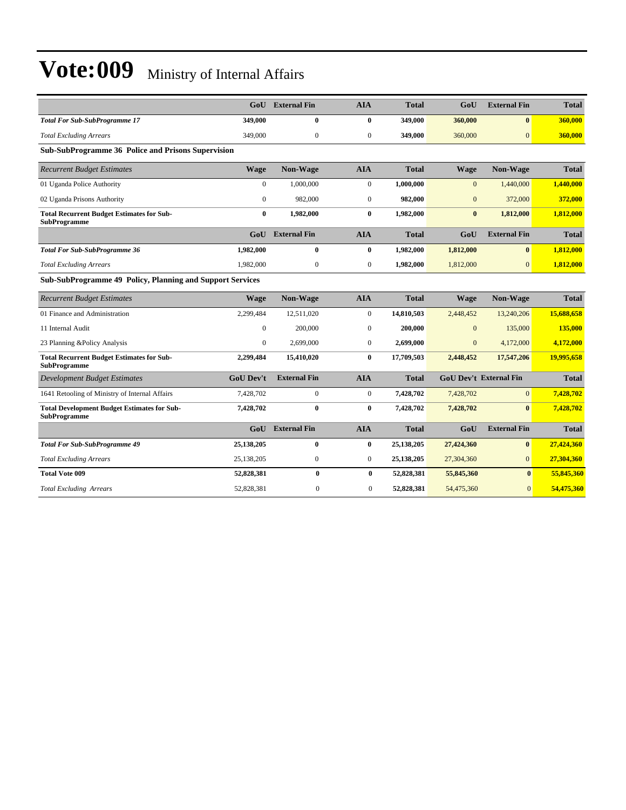|                                                                           | GoU              | <b>External Fin</b> | <b>AIA</b>       | <b>Total</b> | GoU            | <b>External Fin</b>           | <b>Total</b> |
|---------------------------------------------------------------------------|------------------|---------------------|------------------|--------------|----------------|-------------------------------|--------------|
| <b>Total For Sub-SubProgramme 17</b>                                      | 349,000          | $\bf{0}$            | $\bf{0}$         | 349,000      | 360,000        | $\mathbf{0}$                  | 360,000      |
| <b>Total Excluding Arrears</b>                                            | 349,000          | $\boldsymbol{0}$    | $\mathbf{0}$     | 349,000      | 360,000        | $\mathbf{0}$                  | 360,000      |
| <b>Sub-SubProgramme 36 Police and Prisons Supervision</b>                 |                  |                     |                  |              |                |                               |              |
| <b>Recurrent Budget Estimates</b>                                         | <b>Wage</b>      | Non-Wage            | <b>AIA</b>       | <b>Total</b> | <b>Wage</b>    | Non-Wage                      | <b>Total</b> |
| 01 Uganda Police Authority                                                | $\mathbf{0}$     | 1,000,000           | $\boldsymbol{0}$ | 1,000,000    | $\mathbf{0}$   | 1,440,000                     | 1,440,000    |
| 02 Uganda Prisons Authority                                               | $\mathbf{0}$     | 982,000             | $\mathbf{0}$     | 982,000      | $\overline{0}$ | 372,000                       | 372,000      |
| <b>Total Recurrent Budget Estimates for Sub-</b><br><b>SubProgramme</b>   | $\bf{0}$         | 1,982,000           | $\bf{0}$         | 1,982,000    | $\bf{0}$       | 1,812,000                     | 1,812,000    |
|                                                                           | GoU              | <b>External Fin</b> | <b>AIA</b>       | <b>Total</b> | GoU            | <b>External Fin</b>           | <b>Total</b> |
| <b>Total For Sub-SubProgramme 36</b>                                      | 1,982,000        | $\bf{0}$            | $\bf{0}$         | 1,982,000    | 1,812,000      | $\bf{0}$                      | 1,812,000    |
| <b>Total Excluding Arrears</b>                                            | 1,982,000        | $\boldsymbol{0}$    | $\mathbf{0}$     | 1,982,000    | 1,812,000      | $\overline{0}$                | 1,812,000    |
| Sub-SubProgramme 49 Policy, Planning and Support Services                 |                  |                     |                  |              |                |                               |              |
| <b>Recurrent Budget Estimates</b>                                         | <b>Wage</b>      | Non-Wage            | <b>AIA</b>       | <b>Total</b> | <b>Wage</b>    | Non-Wage                      | <b>Total</b> |
| 01 Finance and Administration                                             | 2,299,484        | 12,511,020          | $\boldsymbol{0}$ | 14,810,503   | 2,448,452      | 13,240,206                    | 15,688,658   |
| 11 Internal Audit                                                         | $\mathbf{0}$     | 200,000             | $\mathbf{0}$     | 200,000      | $\overline{0}$ | 135,000                       | 135,000      |
| 23 Planning &Policy Analysis                                              | $\mathbf{0}$     | 2,699,000           | $\boldsymbol{0}$ | 2,699,000    | $\mathbf{0}$   | 4,172,000                     | 4,172,000    |
| <b>Total Recurrent Budget Estimates for Sub-</b><br><b>SubProgramme</b>   | 2,299,484        | 15,410,020          | $\bf{0}$         | 17,709,503   | 2,448,452      | 17,547,206                    | 19,995,658   |
| <b>Development Budget Estimates</b>                                       | <b>GoU Dev't</b> | <b>External Fin</b> | <b>AIA</b>       | <b>Total</b> |                | <b>GoU Dev't External Fin</b> | <b>Total</b> |
| 1641 Retooling of Ministry of Internal Affairs                            | 7,428,702        | $\mathbf{0}$        | $\overline{0}$   | 7,428,702    | 7,428,702      | $\overline{0}$                | 7,428,702    |
| <b>Total Development Budget Estimates for Sub-</b><br><b>SubProgramme</b> | 7,428,702        | $\bf{0}$            | 0                | 7,428,702    | 7,428,702      | $\bf{0}$                      | 7,428,702    |
|                                                                           | GoU              | <b>External Fin</b> | <b>AIA</b>       | <b>Total</b> | GoU            | <b>External Fin</b>           | <b>Total</b> |
| <b>Total For Sub-SubProgramme 49</b>                                      | 25,138,205       | $\bf{0}$            | $\bf{0}$         | 25,138,205   | 27,424,360     | $\bf{0}$                      | 27,424,360   |
| <b>Total Excluding Arrears</b>                                            | 25,138,205       | $\boldsymbol{0}$    | $\boldsymbol{0}$ | 25,138,205   | 27,304,360     | $\overline{0}$                | 27,304,360   |
| <b>Total Vote 009</b>                                                     | 52,828,381       | $\bf{0}$            | $\bf{0}$         | 52,828,381   | 55,845,360     | $\bf{0}$                      | 55,845,360   |
| <b>Total Excluding Arrears</b>                                            | 52,828,381       | $\overline{0}$      | $\overline{0}$   | 52,828,381   | 54,475,360     | $\overline{0}$                | 54,475,360   |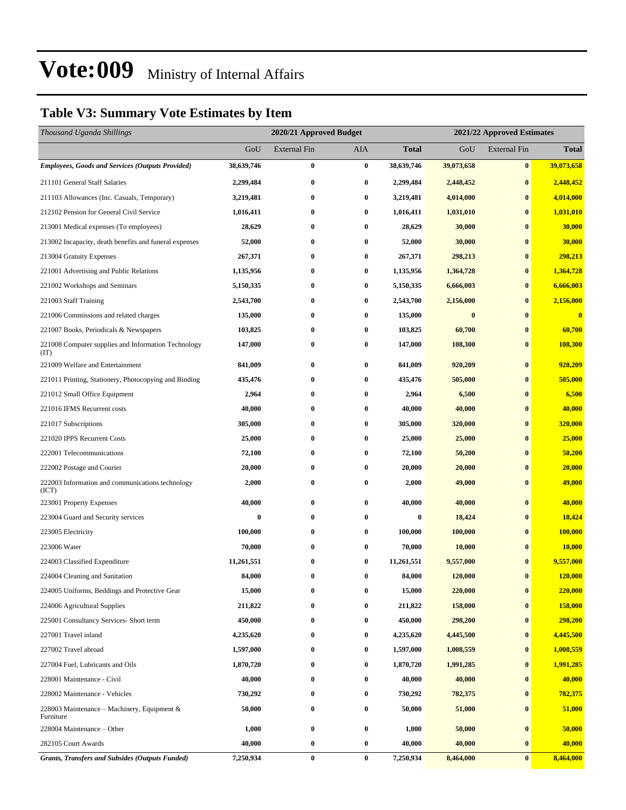### **Table V3: Summary Vote Estimates by Item**

| Thousand Uganda Shillings                                   |            | 2020/21 Approved Budget |            |                  | 2021/22 Approved Estimates |                     |                |  |
|-------------------------------------------------------------|------------|-------------------------|------------|------------------|----------------------------|---------------------|----------------|--|
|                                                             | GoU        | <b>External Fin</b>     | <b>AIA</b> | <b>Total</b>     | GoU                        | <b>External Fin</b> | <b>Total</b>   |  |
| <b>Employees, Goods and Services (Outputs Provided)</b>     | 38,639,746 | $\bf{0}$                | $\bf{0}$   | 38,639,746       | 39,073,658                 | $\bf{0}$            | 39,073,658     |  |
| 211101 General Staff Salaries                               | 2,299,484  | $\bf{0}$                | $\bf{0}$   | 2,299,484        | 2,448,452                  | $\bf{0}$            | 2,448,452      |  |
| 211103 Allowances (Inc. Casuals, Temporary)                 | 3,219,481  | $\bf{0}$                | $\bf{0}$   | 3,219,481        | 4,014,000                  | $\bf{0}$            | 4,014,000      |  |
| 212102 Pension for General Civil Service                    | 1,016,411  | 0                       | $\bf{0}$   | 1,016,411        | 1,031,010                  | $\bf{0}$            | 1,031,010      |  |
| 213001 Medical expenses (To employees)                      | 28,629     | $\bf{0}$                | $\bf{0}$   | 28,629           | 30,000                     | $\bf{0}$            | 30,000         |  |
| 213002 Incapacity, death benefits and funeral expenses      | 52,000     | $\bf{0}$                | $\bf{0}$   | 52,000           | 30,000                     | $\bf{0}$            | 30,000         |  |
| 213004 Gratuity Expenses                                    | 267,371    | $\bf{0}$                | $\bf{0}$   | 267,371          | 298,213                    | $\bf{0}$            | 298,213        |  |
| 221001 Advertising and Public Relations                     | 1,135,956  | $\bf{0}$                | $\bf{0}$   | 1,135,956        | 1,364,728                  | $\bf{0}$            | 1,364,728      |  |
| 221002 Workshops and Seminars                               | 5,150,335  | 0                       | $\bf{0}$   | 5,150,335        | 6,666,003                  | $\bf{0}$            | 6,666,003      |  |
| 221003 Staff Training                                       | 2,543,700  | $\bf{0}$                | $\bf{0}$   | 2,543,700        | 2,156,000                  | $\bf{0}$            | 2,156,000      |  |
| 221006 Commissions and related charges                      | 135,000    | $\bf{0}$                | $\bf{0}$   | 135,000          | $\bf{0}$                   | $\bf{0}$            | $\bf{0}$       |  |
| 221007 Books, Periodicals & Newspapers                      | 103,825    | $\bf{0}$                | $\bf{0}$   | 103,825          | 60,700                     | $\bf{0}$            | 60,700         |  |
| 221008 Computer supplies and Information Technology<br>(TT) | 147,000    | $\bf{0}$                | $\bf{0}$   | 147,000          | 108,300                    | $\bf{0}$            | <b>108,300</b> |  |
| 221009 Welfare and Entertainment                            | 841,009    | $\bf{0}$                | $\bf{0}$   | 841,009          | 920,209                    | $\bf{0}$            | 920,209        |  |
| 221011 Printing, Stationery, Photocopying and Binding       | 435,476    | $\bf{0}$                | $\bf{0}$   | 435,476          | 505,000                    | $\bf{0}$            | 505,000        |  |
| 221012 Small Office Equipment                               | 2,964      | $\bf{0}$                | $\bf{0}$   | 2,964            | 6,500                      | $\bf{0}$            | 6,500          |  |
| 221016 IFMS Recurrent costs                                 | 40,000     | 0                       | $\bf{0}$   | 40,000           | 40,000                     | $\bf{0}$            | 40,000         |  |
| 221017 Subscriptions                                        | 305,000    | $\bf{0}$                | $\bf{0}$   | 305,000          | 320,000                    | $\bf{0}$            | 320,000        |  |
| 221020 IPPS Recurrent Costs                                 | 25,000     | $\bf{0}$                | $\bf{0}$   | 25,000           | 25,000                     | $\bf{0}$            | 25,000         |  |
| 222001 Telecommunications                                   | 72,100     | $\bf{0}$                | $\bf{0}$   | 72,100           | 50,200                     | $\bf{0}$            | 50,200         |  |
| 222002 Postage and Courier                                  | 20,000     | 0                       | $\bf{0}$   | 20,000           | 20,000                     | $\bf{0}$            | 20,000         |  |
| 222003 Information and communications technology<br>(ICT)   | 2,000      | 0                       | $\bf{0}$   | 2,000            | 49,000                     | $\bf{0}$            | 49,000         |  |
| 223001 Property Expenses                                    | 40,000     | $\bf{0}$                | $\bf{0}$   | 40,000           | 40,000                     | $\bf{0}$            | 40,000         |  |
| 223004 Guard and Security services                          | $\bf{0}$   | $\bf{0}$                | $\bf{0}$   | $\boldsymbol{0}$ | 18,424                     | $\bf{0}$            | 18,424         |  |
| 223005 Electricity                                          | 100,000    | 0                       | $\bf{0}$   | 100,000          | 100,000                    | $\bf{0}$            | 100,000        |  |
| 223006 Water                                                | 70,000     | $\bf{0}$                | $\bf{0}$   | 70,000           | 10,000                     | $\bf{0}$            | 10,000         |  |
| 224003 Classified Expenditure                               | 11,261,551 | $\bf{0}$                | $\bf{0}$   | 11,261,551       | 9,557,000                  | $\bf{0}$            | 9,557,000      |  |
| 224004 Cleaning and Sanitation                              | 84,000     | $\bf{0}$                | $\bf{0}$   | 84,000           | 120,000                    | $\bf{0}$            | 120,000        |  |
| 224005 Uniforms, Beddings and Protective Gear               | 15,000     | 0                       | $\bf{0}$   | 15,000           | 220,000                    | $\bf{0}$            | 220,000        |  |
| 224006 Agricultural Supplies                                | 211,822    | 0                       | $\bf{0}$   | 211,822          | 158,000                    | $\bf{0}$            | 158,000        |  |
| 225001 Consultancy Services- Short term                     | 450,000    | $\bf{0}$                | $\bf{0}$   | 450,000          | 298,200                    | $\bf{0}$            | 298,200        |  |
| 227001 Travel inland                                        | 4,235,620  | 0                       | $\bf{0}$   | 4,235,620        | 4,445,500                  | $\bf{0}$            | 4,445,500      |  |
| 227002 Travel abroad                                        | 1,597,000  | 0                       | $\bf{0}$   | 1,597,000        | 1,008,559                  | $\bf{0}$            | 1,008,559      |  |
| 227004 Fuel, Lubricants and Oils                            | 1,870,720  | $\bf{0}$                | $\bf{0}$   | 1,870,720        | 1,991,285                  | $\bf{0}$            | 1,991,285      |  |
| 228001 Maintenance - Civil                                  | 40,000     | 0                       | $\bf{0}$   | 40,000           | 40,000                     | $\bf{0}$            | 40,000         |  |
| 228002 Maintenance - Vehicles                               | 730,292    | $\bf{0}$                | $\bf{0}$   | 730,292          | 782,375                    | $\bf{0}$            | 782,375        |  |
| 228003 Maintenance – Machinery, Equipment $\&$<br>Furniture | 50,000     | $\bf{0}$                | $\bf{0}$   | 50,000           | 51,000                     | $\bf{0}$            | 51,000         |  |
| 228004 Maintenance - Other                                  | 1,000      | $\bf{0}$                | $\bf{0}$   | 1,000            | 50,000                     | $\bf{0}$            | 50,000         |  |
| 282105 Court Awards                                         | 40,000     | $\bf{0}$                | $\bf{0}$   | 40,000           | 40,000                     | $\bf{0}$            | 40,000         |  |
| <b>Grants, Transfers and Subsides (Outputs Funded)</b>      | 7,250,934  | $\pmb{0}$               | $\bf{0}$   | 7,250,934        | 8,464,000                  | $\bf{0}$            | 8,464,000      |  |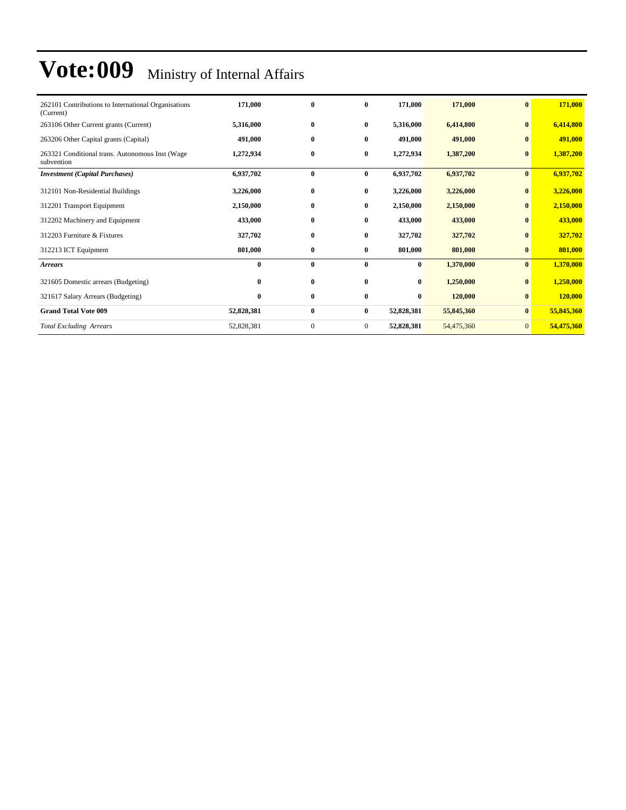| 262101 Contributions to International Organisations<br>(Current) | 171,000    | $\bf{0}$         | $\bf{0}$     | 171,000    | 171,000    | $\vert 0 \vert$ | 171,000    |
|------------------------------------------------------------------|------------|------------------|--------------|------------|------------|-----------------|------------|
| 263106 Other Current grants (Current)                            | 5,316,000  | $\bf{0}$         | $\bf{0}$     | 5,316,000  | 6,414,800  | $\bf{0}$        | 6,414,800  |
| 263206 Other Capital grants (Capital)                            | 491,000    | $\bf{0}$         | 0            | 491,000    | 491,000    | $\mathbf{0}$    | 491,000    |
| 263321 Conditional trans. Autonomous Inst (Wage<br>subvention    | 1,272,934  | $\bf{0}$         | 0            | 1,272,934  | 1,387,200  | $\bf{0}$        | 1,387,200  |
| <b>Investment</b> (Capital Purchases)                            | 6,937,702  | $\bf{0}$         | $\bf{0}$     | 6,937,702  | 6,937,702  | $\vert 0 \vert$ | 6,937,702  |
| 312101 Non-Residential Buildings                                 | 3,226,000  | $\bf{0}$         | $\bf{0}$     | 3,226,000  | 3,226,000  | $\bf{0}$        | 3,226,000  |
| 312201 Transport Equipment                                       | 2,150,000  | $\bf{0}$         | $\bf{0}$     | 2,150,000  | 2,150,000  | $\mathbf{0}$    | 2,150,000  |
| 312202 Machinery and Equipment                                   | 433,000    | $\bf{0}$         | $\bf{0}$     | 433,000    | 433,000    | $\bf{0}$        | 433,000    |
| 312203 Furniture & Fixtures                                      | 327,702    | $\bf{0}$         | $\bf{0}$     | 327,702    | 327,702    | $\bf{0}$        | 327,702    |
| 312213 ICT Equipment                                             | 801,000    | $\bf{0}$         | $\bf{0}$     | 801,000    | 801,000    | $\bf{0}$        | 801,000    |
| <b>Arrears</b>                                                   | $\bf{0}$   | $\bf{0}$         | $\bf{0}$     | $\bf{0}$   | 1,370,000  | $\bf{0}$        | 1,370,000  |
| 321605 Domestic arrears (Budgeting)                              | $\bf{0}$   | $\bf{0}$         | $\bf{0}$     | $\bf{0}$   | 1,250,000  | $\bf{0}$        | 1,250,000  |
| 321617 Salary Arrears (Budgeting)                                | $\bf{0}$   | $\bf{0}$         | $\bf{0}$     | $\bf{0}$   | 120,000    | $\bf{0}$        | 120,000    |
| <b>Grand Total Vote 009</b>                                      | 52,828,381 | $\bf{0}$         | 0            | 52,828,381 | 55,845,360 | $\bf{0}$        | 55,845,360 |
| <b>Total Excluding Arrears</b>                                   | 52,828,381 | $\boldsymbol{0}$ | $\mathbf{0}$ | 52,828,381 | 54,475,360 | $\mathbf{0}$    | 54,475,360 |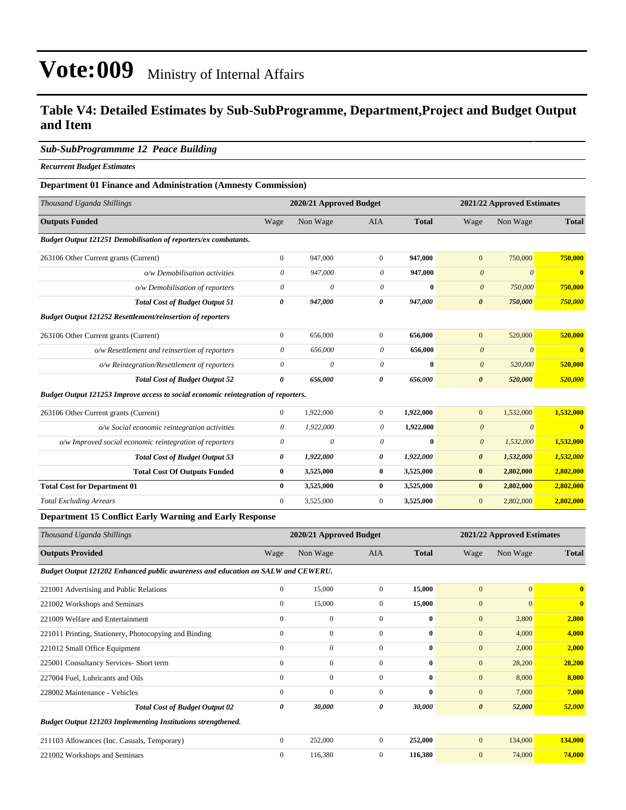### **Table V4: Detailed Estimates by Sub-SubProgramme, Department,Project and Budget Output and Item**

#### *Sub-SubProgrammme 12 Peace Building*

*Recurrent Budget Estimates*

#### **Department 01 Finance and Administration (Amnesty Commission)**

| Thousand Uganda Shillings                                                          |                       | 2020/21 Approved Budget |                       |              | 2021/22 Approved Estimates |                            |                |
|------------------------------------------------------------------------------------|-----------------------|-------------------------|-----------------------|--------------|----------------------------|----------------------------|----------------|
| <b>Outputs Funded</b>                                                              | Wage                  | Non Wage                | AIA                   | <b>Total</b> | Wage                       | Non Wage                   | <b>Total</b>   |
| Budget Output 121251 Demobilisation of reporters/ex combatants.                    |                       |                         |                       |              |                            |                            |                |
| 263106 Other Current grants (Current)                                              | $\boldsymbol{0}$      | 947,000                 | $\mathbf{0}$          | 947,000      | $\mathbf{0}$               | 750,000                    | 750,000        |
| o/w Demobilisation activities                                                      | 0                     | 947,000                 | $\theta$              | 947,000      | $\boldsymbol{\theta}$      | $\theta$                   | $\mathbf{0}$   |
| o/w Demobilisation of reporters                                                    | $\theta$              | $\theta$                | $\theta$              | $\bf{0}$     | $\boldsymbol{\theta}$      | 750,000                    | 750,000        |
| <b>Total Cost of Budget Output 51</b>                                              | $\boldsymbol{\theta}$ | 947,000                 | $\theta$              | 947,000      | $\boldsymbol{\theta}$      | 750,000                    | 750,000        |
| <b>Budget Output 121252 Resettlement/reinsertion of reporters</b>                  |                       |                         |                       |              |                            |                            |                |
| 263106 Other Current grants (Current)                                              | $\overline{0}$        | 656,000                 | $\mathbf{0}$          | 656,000      | $\mathbf{0}$               | 520,000                    | 520,000        |
| o/w Resettlement and reinsertion of reporters                                      | $\theta$              | 656,000                 | $\theta$              | 656,000      | $\boldsymbol{\theta}$      | $\theta$                   | $\overline{0}$ |
| o/w Reintegration/Resettlement of reporters                                        | $\theta$              | $\theta$                | $\theta$              | $\bf{0}$     | $\boldsymbol{\theta}$      | 520,000                    | 520,000        |
| <b>Total Cost of Budget Output 52</b>                                              | 0                     | 656,000                 | $\boldsymbol{\theta}$ | 656,000      | $\boldsymbol{\theta}$      | 520,000                    | 520,000        |
| Budget Output 121253 Improve access to social economic reintegration of reporters. |                       |                         |                       |              |                            |                            |                |
| 263106 Other Current grants (Current)                                              | $\mathbf{0}$          | 1,922,000               | $\boldsymbol{0}$      | 1,922,000    | $\mathbf{0}$               | 1,532,000                  | 1,532,000      |
| o/w Social economic reintegration activities                                       | 0                     | 1,922,000               | 0                     | 1,922,000    | $\boldsymbol{\mathit{0}}$  | $\boldsymbol{\theta}$      | $\bf{0}$       |
| o/w Improved social economic reintegration of reporters                            | $\theta$              | $\theta$                | $\theta$              | $\bf{0}$     | $\boldsymbol{\theta}$      | 1,532,000                  | 1,532,000      |
| <b>Total Cost of Budget Output 53</b>                                              | 0                     | 1,922,000               | 0                     | 1,922,000    | $\boldsymbol{\theta}$      | 1,532,000                  | 1,532,000      |
| <b>Total Cost Of Outputs Funded</b>                                                | $\bf{0}$              | 3,525,000               | $\bf{0}$              | 3,525,000    | $\bf{0}$                   | 2,802,000                  | 2,802,000      |
| <b>Total Cost for Department 01</b>                                                | $\bf{0}$              | 3,525,000               | $\bf{0}$              | 3,525,000    | $\bf{0}$                   | 2,802,000                  | 2,802,000      |
| <b>Total Excluding Arrears</b>                                                     | $\boldsymbol{0}$      | 3,525,000               | $\mathbf{0}$          | 3,525,000    | $\mathbf{0}$               | 2,802,000                  | 2,802,000      |
| <b>Department 15 Conflict Early Warning and Early Response</b>                     |                       |                         |                       |              |                            |                            |                |
| Thousand Uganda Shillings                                                          |                       | 2020/21 Approved Budget |                       |              |                            | 2021/22 Approved Estimates |                |
| <b>Outputs Provided</b>                                                            | Wage                  | Non Wage                | <b>AIA</b>            | <b>Total</b> | Wage                       | Non Wage                   | <b>Total</b>   |
| Budget Output 121202 Enhanced public awareness and education on SALW and CEWERU.   |                       |                         |                       |              |                            |                            |                |
| 221001 Advertising and Public Relations                                            | $\boldsymbol{0}$      | 15,000                  | $\mathbf{0}$          | 15,000       | $\mathbf{0}$               | $\overline{0}$             | $\bf{0}$       |

| $\mathbf{v}$ | 1,000        | $\mathbf{v}$ | 1,000 | $\mathbf{v}$          |                                                                                                                |                                                                                                |
|--------------|--------------|--------------|-------|-----------------------|----------------------------------------------------------------------------------------------------------------|------------------------------------------------------------------------------------------------|
| $\mathbf{0}$ | 15,000       | $\mathbf{0}$ |       | $\mathbf{0}$          |                                                                                                                | $\bf{0}$                                                                                       |
| $\mathbf{0}$ | $\mathbf{0}$ | $\mathbf{0}$ |       | $\overline{0}$        |                                                                                                                | 2,800                                                                                          |
| $\mathbf{0}$ | $\mathbf{0}$ | $\mathbf{0}$ |       | $\mathbf{0}$          |                                                                                                                | 4,000                                                                                          |
| $\mathbf{0}$ | $\mathbf{0}$ | $\mathbf{0}$ |       | $\overline{0}$        |                                                                                                                | 2,000                                                                                          |
| $\mathbf{0}$ | $\mathbf{0}$ | $\mathbf{0}$ |       | $\mathbf{0}$          |                                                                                                                | 28,200                                                                                         |
| $\mathbf{0}$ | $\mathbf{0}$ | $\mathbf{0}$ |       | $\mathbf{0}$          |                                                                                                                | 8,000                                                                                          |
| $\Omega$     | $\mathbf{0}$ | $\Omega$     |       | $\overline{0}$        |                                                                                                                | 7.000                                                                                          |
| 0            | 30,000       | 0            |       | $\boldsymbol{\theta}$ |                                                                                                                | 52,000                                                                                         |
|              |              |              |       |                       |                                                                                                                |                                                                                                |
| $\mathbf{0}$ | 252,000      | $\mathbf{0}$ |       | $\mathbf{0}$          |                                                                                                                | 134,000                                                                                        |
| $\mathbf{0}$ | 116,380      | $\mathbf{0}$ |       | $\boldsymbol{0}$      |                                                                                                                | 74,000                                                                                         |
|              |              |              |       |                       | 15,000<br>$\bf{0}$<br>$\bf{0}$<br>$\bf{0}$<br>$\bf{0}$<br>$\bf{0}$<br>$\bf{0}$<br>30,000<br>252,000<br>116,380 | $\Omega$<br>2,800<br>4,000<br>2,000<br>28,200<br>8,000<br>7,000<br>52,000<br>134,000<br>74,000 |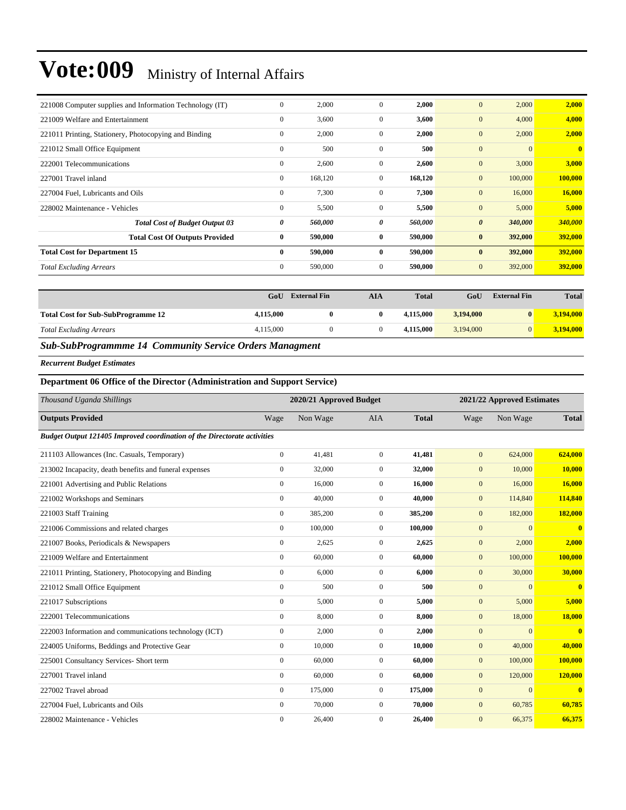| 221008 Computer supplies and Information Technology (IT) | $\mathbf{0}$ | 2,000   | $\Omega$     | 2,000   | 2,000<br>$\mathbf{0}$            | 2,000        |
|----------------------------------------------------------|--------------|---------|--------------|---------|----------------------------------|--------------|
| 221009 Welfare and Entertainment                         | $\mathbf{0}$ | 3,600   | $\mathbf{0}$ | 3,600   | $\mathbf{0}$<br>4,000            | 4,000        |
| 221011 Printing, Stationery, Photocopying and Binding    | $\mathbf{0}$ | 2,000   | $\mathbf{0}$ | 2,000   | $\mathbf{0}$<br>2,000            | 2,000        |
| 221012 Small Office Equipment                            | $\mathbf{0}$ | 500     | $\Omega$     | 500     | $\mathbf{0}$<br>$\Omega$         | $\mathbf{0}$ |
| 222001 Telecommunications                                | $\mathbf{0}$ | 2,600   | $\mathbf{0}$ | 2,600   | $\mathbf{0}$<br>3,000            | 3,000        |
| 227001 Travel inland                                     | $\mathbf{0}$ | 168,120 | $\mathbf{0}$ | 168,120 | $\mathbf{0}$<br>100,000          | 100,000      |
| 227004 Fuel, Lubricants and Oils                         | $\mathbf{0}$ | 7,300   | $\Omega$     | 7,300   | $\mathbf{0}$<br>16,000           | 16,000       |
| 228002 Maintenance - Vehicles                            | $\mathbf{0}$ | 5,500   | $\mathbf{0}$ | 5,500   | $\mathbf{0}$<br>5,000            | 5,000        |
| <b>Total Cost of Budget Output 03</b>                    | 0            | 560,000 | 0            | 560,000 | $\boldsymbol{\theta}$<br>340,000 | 340,000      |
| <b>Total Cost Of Outputs Provided</b>                    | $\bf{0}$     | 590,000 | $\bf{0}$     | 590,000 | $\bf{0}$<br>392,000              | 392,000      |
| <b>Total Cost for Department 15</b>                      | $\mathbf{0}$ | 590,000 | $\mathbf{0}$ | 590,000 | $\bf{0}$<br>392,000              | 392,000      |
| <b>Total Excluding Arrears</b>                           | $\mathbf{0}$ | 590,000 | $\mathbf{0}$ | 590,000 | $\mathbf{0}$<br>392,000          | 392,000      |
|                                                          |              |         |              |         |                                  |              |

|                                           | GoU       | <b>External Fin</b> | AIA | <b>Total</b> | GoU       | <b>External Fin</b> | <b>Total</b> |
|-------------------------------------------|-----------|---------------------|-----|--------------|-----------|---------------------|--------------|
| <b>Total Cost for Sub-SubProgramme 12</b> | 4,115,000 |                     |     | 4,115,000    | 3.194,000 | $\mathbf{0}$        | 3,194,000    |
| <b>Total Excluding Arrears</b>            | 4,115,000 |                     |     | 4.115.000    | 3.194,000 | 0                   | 3,194,000    |

#### *Sub-SubProgrammme 14 Community Service Orders Managment*

*Recurrent Budget Estimates*

#### **Department 06 Office of the Director (Administration and Support Service)**

| Thousand Uganda Shillings                                                       |                  | 2020/21 Approved Budget |                |              | 2021/22 Approved Estimates |                |                         |
|---------------------------------------------------------------------------------|------------------|-------------------------|----------------|--------------|----------------------------|----------------|-------------------------|
| <b>Outputs Provided</b>                                                         | Wage             | Non Wage                | <b>AIA</b>     | <b>Total</b> | Wage                       | Non Wage       | <b>Total</b>            |
| <b>Budget Output 121405 Improved coordination of the Directorate activities</b> |                  |                         |                |              |                            |                |                         |
| 211103 Allowances (Inc. Casuals, Temporary)                                     | $\mathbf{0}$     | 41,481                  | $\overline{0}$ | 41,481       | $\mathbf{0}$               | 624,000        | 624,000                 |
| 213002 Incapacity, death benefits and funeral expenses                          | $\mathbf{0}$     | 32,000                  | $\overline{0}$ | 32,000       | $\mathbf{0}$               | 10,000         | 10,000                  |
| 221001 Advertising and Public Relations                                         | $\boldsymbol{0}$ | 16,000                  | $\overline{0}$ | 16,000       | $\mathbf{0}$               | 16,000         | 16,000                  |
| 221002 Workshops and Seminars                                                   | $\mathbf{0}$     | 40,000                  | $\overline{0}$ | 40,000       | $\mathbf{0}$               | 114,840        | 114,840                 |
| 221003 Staff Training                                                           | $\mathbf{0}$     | 385,200                 | $\overline{0}$ | 385,200      | $\mathbf{0}$               | 182,000        | 182,000                 |
| 221006 Commissions and related charges                                          | $\mathbf{0}$     | 100,000                 | $\overline{0}$ | 100,000      | $\mathbf{0}$               | $\mathbf{0}$   | $\bf{0}$                |
| 221007 Books, Periodicals & Newspapers                                          | $\mathbf{0}$     | 2,625                   | $\overline{0}$ | 2,625        | $\mathbf{0}$               | 2,000          | 2,000                   |
| 221009 Welfare and Entertainment                                                | $\mathbf{0}$     | 60,000                  | $\overline{0}$ | 60,000       | $\mathbf{0}$               | 100,000        | 100,000                 |
| 221011 Printing, Stationery, Photocopying and Binding                           | $\mathbf{0}$     | 6,000                   | $\overline{0}$ | 6,000        | $\mathbf{0}$               | 30,000         | 30,000                  |
| 221012 Small Office Equipment                                                   | $\mathbf{0}$     | 500                     | $\overline{0}$ | 500          | $\mathbf{0}$               | $\mathbf{0}$   | $\mathbf{0}$            |
| 221017 Subscriptions                                                            | $\mathbf{0}$     | 5,000                   | $\overline{0}$ | 5,000        | $\mathbf{0}$               | 5,000          | 5,000                   |
| 222001 Telecommunications                                                       | $\mathbf{0}$     | 8,000                   | $\overline{0}$ | 8,000        | $\mathbf{0}$               | 18,000         | 18,000                  |
| 222003 Information and communications technology (ICT)                          | $\mathbf{0}$     | 2,000                   | $\overline{0}$ | 2,000        | $\mathbf{0}$               | $\overline{0}$ | $\overline{\mathbf{0}}$ |
| 224005 Uniforms, Beddings and Protective Gear                                   | $\mathbf{0}$     | 10,000                  | $\Omega$       | 10,000       | $\mathbf{0}$               | 40,000         | 40,000                  |
| 225001 Consultancy Services- Short term                                         | $\boldsymbol{0}$ | 60,000                  | $\overline{0}$ | 60,000       | $\mathbf{0}$               | 100,000        | 100,000                 |
| 227001 Travel inland                                                            | $\mathbf{0}$     | 60,000                  | $\overline{0}$ | 60,000       | $\mathbf{0}$               | 120,000        | 120,000                 |
| 227002 Travel abroad                                                            | $\mathbf{0}$     | 175,000                 | $\overline{0}$ | 175,000      | $\mathbf{0}$               | $\mathbf{0}$   | $\overline{\mathbf{0}}$ |
| 227004 Fuel, Lubricants and Oils                                                | $\mathbf{0}$     | 70,000                  | $\overline{0}$ | 70,000       | $\mathbf{0}$               | 60,785         | 60,785                  |
| 228002 Maintenance - Vehicles                                                   | $\mathbf{0}$     | 26,400                  | $\mathbf{0}$   | 26,400       | $\mathbf{0}$               | 66,375         | 66,375                  |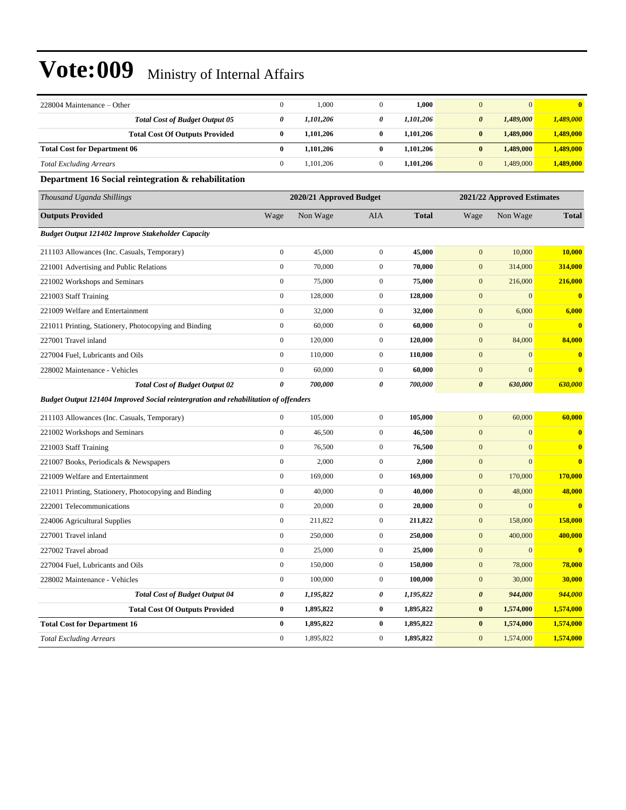| 228004 Maintenance – Other                                                                 | $\boldsymbol{0}$ | 1,000                   | $\boldsymbol{0}$      | 1,000        | $\mathbf{0}$<br>$\mathbf{0}$       | $\bf{0}$     |
|--------------------------------------------------------------------------------------------|------------------|-------------------------|-----------------------|--------------|------------------------------------|--------------|
| <b>Total Cost of Budget Output 05</b>                                                      | 0                | 1,101,206               | 0                     | 1,101,206    | 1,489,000<br>$\boldsymbol{\theta}$ | 1,489,000    |
| <b>Total Cost Of Outputs Provided</b>                                                      | $\bf{0}$         | 1,101,206               | $\bf{0}$              | 1,101,206    | $\bf{0}$<br>1,489,000              | 1,489,000    |
| <b>Total Cost for Department 06</b>                                                        | $\bf{0}$         | 1,101,206               | $\bf{0}$              | 1,101,206    | $\pmb{0}$<br>1,489,000             | 1,489,000    |
| <b>Total Excluding Arrears</b>                                                             | $\boldsymbol{0}$ | 1,101,206               | $\mathbf{0}$          | 1,101,206    | $\mathbf{0}$<br>1,489,000          | 1,489,000    |
| Department 16 Social reintegration & rehabilitation                                        |                  |                         |                       |              |                                    |              |
| Thousand Uganda Shillings                                                                  |                  | 2020/21 Approved Budget |                       |              | 2021/22 Approved Estimates         |              |
| <b>Outputs Provided</b>                                                                    | Wage             | Non Wage                | AIA                   | <b>Total</b> | Wage<br>Non Wage                   | <b>Total</b> |
| <b>Budget Output 121402 Improve Stakeholder Capacity</b>                                   |                  |                         |                       |              |                                    |              |
| 211103 Allowances (Inc. Casuals, Temporary)                                                | $\boldsymbol{0}$ | 45,000                  | $\mathbf{0}$          | 45,000       | $\mathbf{0}$<br>10,000             | 10,000       |
| 221001 Advertising and Public Relations                                                    | $\boldsymbol{0}$ | 70,000                  | $\boldsymbol{0}$      | 70,000       | $\boldsymbol{0}$<br>314,000        | 314,000      |
| 221002 Workshops and Seminars                                                              | $\boldsymbol{0}$ | 75,000                  | $\mathbf{0}$          | 75,000       | $\boldsymbol{0}$<br>216,000        | 216,000      |
| 221003 Staff Training                                                                      | $\boldsymbol{0}$ | 128,000                 | $\mathbf{0}$          | 128,000      | $\boldsymbol{0}$<br>$\mathbf{0}$   | $\bf{0}$     |
| 221009 Welfare and Entertainment                                                           | $\boldsymbol{0}$ | 32,000                  | $\mathbf{0}$          | 32,000       | 6,000<br>$\boldsymbol{0}$          | 6,000        |
| 221011 Printing, Stationery, Photocopying and Binding                                      | $\boldsymbol{0}$ | 60,000                  | $\boldsymbol{0}$      | 60,000       | $\mathbf{0}$<br>$\mathbf{0}$       | $\mathbf{0}$ |
| 227001 Travel inland                                                                       | $\boldsymbol{0}$ | 120,000                 | $\boldsymbol{0}$      | 120,000      | $\boldsymbol{0}$<br>84,000         | 84,000       |
| 227004 Fuel, Lubricants and Oils                                                           | $\boldsymbol{0}$ | 110,000                 | $\mathbf{0}$          | 110,000      | $\boldsymbol{0}$<br>$\mathbf{0}$   | $\bf{0}$     |
| 228002 Maintenance - Vehicles                                                              | $\boldsymbol{0}$ | 60,000                  | $\boldsymbol{0}$      | 60,000       | $\boldsymbol{0}$<br>$\mathbf{0}$   | $\bf{0}$     |
| <b>Total Cost of Budget Output 02</b>                                                      | 0                | 700,000                 | $\boldsymbol{\theta}$ | 700,000      | $\boldsymbol{\theta}$<br>630,000   | 630,000      |
| <b>Budget Output 121404 Improved Social reintergration and rehabilitation of offenders</b> |                  |                         |                       |              |                                    |              |
| 211103 Allowances (Inc. Casuals, Temporary)                                                | $\boldsymbol{0}$ | 105,000                 | $\mathbf{0}$          | 105,000      | 60,000<br>$\boldsymbol{0}$         | 60,000       |
| 221002 Workshops and Seminars                                                              | $\boldsymbol{0}$ | 46,500                  | $\boldsymbol{0}$      | 46,500       | $\mathbf{0}$<br>$\mathbf{0}$       | $\bf{0}$     |
| 221003 Staff Training                                                                      | $\boldsymbol{0}$ | 76,500                  | $\mathbf{0}$          | 76,500       | $\mathbf{0}$<br>$\mathbf{0}$       | $\bf{0}$     |
| 221007 Books, Periodicals & Newspapers                                                     | $\boldsymbol{0}$ | 2,000                   | $\boldsymbol{0}$      | 2,000        | $\mathbf{0}$<br>$\boldsymbol{0}$   | $\bf{0}$     |
| 221009 Welfare and Entertainment                                                           | $\boldsymbol{0}$ | 169,000                 | $\boldsymbol{0}$      | 169,000      | 170,000<br>$\boldsymbol{0}$        | 170,000      |
| 221011 Printing, Stationery, Photocopying and Binding                                      | $\boldsymbol{0}$ | 40,000                  | $\boldsymbol{0}$      | 40,000       | $\boldsymbol{0}$<br>48,000         | 48,000       |
| 222001 Telecommunications                                                                  | $\boldsymbol{0}$ | 20,000                  | $\boldsymbol{0}$      | 20,000       | $\boldsymbol{0}$<br>$\mathbf{0}$   | $\bf{0}$     |
| 224006 Agricultural Supplies                                                               | $\boldsymbol{0}$ | 211,822                 | $\mathbf{0}$          | 211,822      | $\boldsymbol{0}$<br>158,000        | 158,000      |
| 227001 Travel inland                                                                       | $\boldsymbol{0}$ | 250,000                 | $\boldsymbol{0}$      | 250,000      | $\mathbf{0}$<br>400,000            | 400,000      |
| 227002 Travel abroad                                                                       | $\mathbf{0}$     | 25,000                  | $\overline{0}$        | 25,000       | $\mathbf{0}$<br>$\mathbf{0}$       | $\bf{0}$     |
| 227004 Fuel, Lubricants and Oils                                                           | $\boldsymbol{0}$ | 150,000                 | $\mathbf{0}$          | 150,000      | 78,000<br>$\boldsymbol{0}$         | 78,000       |
| 228002 Maintenance - Vehicles                                                              | $\boldsymbol{0}$ | 100,000                 | $\boldsymbol{0}$      | 100,000      | $\boldsymbol{0}$<br>30,000         | 30,000       |
| <b>Total Cost of Budget Output 04</b>                                                      | 0                | 1,195,822               | $\pmb{\theta}$        | 1,195,822    | 944,000<br>$\pmb{\theta}$          | 944,000      |
| <b>Total Cost Of Outputs Provided</b>                                                      | $\pmb{0}$        | 1,895,822               | $\boldsymbol{0}$      | 1,895,822    | $\pmb{0}$<br>1,574,000             | 1,574,000    |
| <b>Total Cost for Department 16</b>                                                        | $\bf{0}$         | 1,895,822               | $\bf{0}$              | 1,895,822    | $\pmb{0}$<br>1,574,000             | 1,574,000    |
| <b>Total Excluding Arrears</b>                                                             | $\boldsymbol{0}$ | 1,895,822               | $\boldsymbol{0}$      | 1,895,822    | 1,574,000<br>$\mathbf{0}$          | 1,574,000    |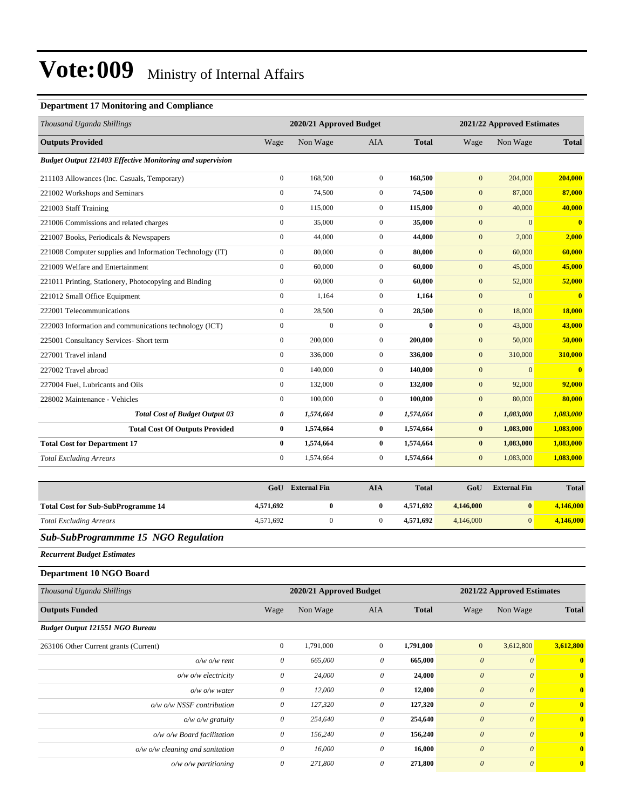#### **Department 17 Monitoring and Compliance**

| Department 17 montoring and computance                    |                           |                         |                       |              |                            |                            |              |  |
|-----------------------------------------------------------|---------------------------|-------------------------|-----------------------|--------------|----------------------------|----------------------------|--------------|--|
| Thousand Uganda Shillings                                 |                           | 2020/21 Approved Budget |                       |              | 2021/22 Approved Estimates |                            |              |  |
| <b>Outputs Provided</b>                                   | Wage                      | Non Wage                | AIA                   | <b>Total</b> | Wage                       | Non Wage                   | <b>Total</b> |  |
| Budget Output 121403 Effective Monitoring and supervision |                           |                         |                       |              |                            |                            |              |  |
| 211103 Allowances (Inc. Casuals, Temporary)               | $\boldsymbol{0}$          | 168,500                 | $\mathbf{0}$          | 168,500      | $\mathbf{0}$               | 204,000                    | 204,000      |  |
| 221002 Workshops and Seminars                             | $\boldsymbol{0}$          | 74,500                  | $\mathbf{0}$          | 74,500       | $\mathbf{0}$               | 87,000                     | 87,000       |  |
| 221003 Staff Training                                     | $\boldsymbol{0}$          | 115,000                 | $\mathbf{0}$          | 115,000      | $\mathbf{0}$               | 40,000                     | 40,000       |  |
| 221006 Commissions and related charges                    | $\boldsymbol{0}$          | 35,000                  | $\mathbf{0}$          | 35,000       | $\mathbf{0}$               | $\mathbf{0}$               | $\bf{0}$     |  |
| 221007 Books, Periodicals & Newspapers                    | $\boldsymbol{0}$          | 44,000                  | $\mathbf{0}$          | 44,000       | $\mathbf{0}$               | 2,000                      | 2,000        |  |
| 221008 Computer supplies and Information Technology (IT)  | $\boldsymbol{0}$          | 80,000                  | $\mathbf{0}$          | 80,000       | $\mathbf{0}$               | 60,000                     | 60,000       |  |
| 221009 Welfare and Entertainment                          | $\boldsymbol{0}$          | 60,000                  | $\mathbf{0}$          | 60,000       | $\mathbf{0}$               | 45,000                     | 45,000       |  |
| 221011 Printing, Stationery, Photocopying and Binding     | $\boldsymbol{0}$          | 60,000                  | $\mathbf{0}$          | 60,000       | $\boldsymbol{0}$           | 52,000                     | 52,000       |  |
| 221012 Small Office Equipment                             | $\boldsymbol{0}$          | 1,164                   | $\mathbf{0}$          | 1,164        | $\mathbf{0}$               | $\mathbf{0}$               | $\bf{0}$     |  |
| 222001 Telecommunications                                 | $\boldsymbol{0}$          | 28,500                  | $\mathbf{0}$          | 28,500       | $\mathbf{0}$               | 18,000                     | 18,000       |  |
| 222003 Information and communications technology (ICT)    | $\boldsymbol{0}$          | $\mathbf{0}$            | $\mathbf{0}$          | $\bf{0}$     | $\mathbf{0}$               | 43,000                     | 43,000       |  |
| 225001 Consultancy Services- Short term                   | $\boldsymbol{0}$          | 200,000                 | $\mathbf{0}$          | 200,000      | $\mathbf{0}$               | 50,000                     | 50,000       |  |
| 227001 Travel inland                                      | $\boldsymbol{0}$          | 336,000                 | $\mathbf{0}$          | 336,000      | $\boldsymbol{0}$           | 310,000                    | 310,000      |  |
| 227002 Travel abroad                                      | $\boldsymbol{0}$          | 140,000                 | $\mathbf{0}$          | 140,000      | $\mathbf{0}$               | $\mathbf{0}$               | $\bf{0}$     |  |
| 227004 Fuel, Lubricants and Oils                          | $\boldsymbol{0}$          | 132,000                 | $\mathbf{0}$          | 132,000      | $\boldsymbol{0}$           | 92,000                     | 92,000       |  |
| 228002 Maintenance - Vehicles                             | $\boldsymbol{0}$          | 100,000                 | $\mathbf{0}$          | 100,000      | $\mathbf{0}$               | 80,000                     | 80,000       |  |
| <b>Total Cost of Budget Output 03</b>                     | 0                         | 1,574,664               | 0                     | 1,574,664    | 0                          | 1,083,000                  | 1,083,000    |  |
| <b>Total Cost Of Outputs Provided</b>                     | 0                         | 1,574,664               | $\bf{0}$              | 1,574,664    | $\bf{0}$                   | 1,083,000                  | 1,083,000    |  |
| <b>Total Cost for Department 17</b>                       | 0                         | 1,574,664               | $\bf{0}$              | 1,574,664    | $\bf{0}$                   | 1,083,000                  | 1,083,000    |  |
| <b>Total Excluding Arrears</b>                            | $\boldsymbol{0}$          | 1,574,664               | $\mathbf{0}$          | 1,574,664    | $\overline{0}$             | 1,083,000                  | 1,083,000    |  |
|                                                           |                           |                         |                       |              |                            |                            |              |  |
|                                                           | GoU                       | <b>External Fin</b>     | <b>AIA</b>            | <b>Total</b> | GoU                        | <b>External Fin</b>        | <b>Total</b> |  |
| <b>Total Cost for Sub-SubProgramme 14</b>                 | 4,571,692                 | $\bf{0}$                | $\bf{0}$              | 4,571,692    | 4,146,000                  | $\bf{0}$                   | 4,146,000    |  |
| <b>Total Excluding Arrears</b>                            | 4,571,692                 | $\boldsymbol{0}$        | $\boldsymbol{0}$      | 4,571,692    | 4,146,000                  | $\boldsymbol{0}$           | 4,146,000    |  |
| <b>Sub-SubProgrammme 15 NGO Regulation</b>                |                           |                         |                       |              |                            |                            |              |  |
| <b>Recurrent Budget Estimates</b>                         |                           |                         |                       |              |                            |                            |              |  |
| Department 10 NGO Board                                   |                           |                         |                       |              |                            |                            |              |  |
| Thousand Uganda Shillings                                 |                           | 2020/21 Approved Budget |                       |              |                            | 2021/22 Approved Estimates |              |  |
| <b>Outputs Funded</b>                                     | Wage                      | Non Wage                | AIA                   | <b>Total</b> | Wage                       | Non Wage                   | <b>Total</b> |  |
| <b>Budget Output 121551 NGO Bureau</b>                    |                           |                         |                       |              |                            |                            |              |  |
| 263106 Other Current grants (Current)                     | $\boldsymbol{0}$          | 1,791,000               | $\mathbf{0}$          | 1,791,000    | $\mathbf{0}$               | 3,612,800                  | 3,612,800    |  |
| $o/w$ $o/w$ rent                                          | $\boldsymbol{\mathit{0}}$ | 665,000                 | $\boldsymbol{\theta}$ | 665,000      | $\boldsymbol{\theta}$      | $\boldsymbol{\theta}$      | $\mathbf{0}$ |  |
| o/w o/w electricity                                       | $\boldsymbol{\mathit{0}}$ | 24,000                  | $\theta$              | 24,000       | $\boldsymbol{\mathit{0}}$  | $\boldsymbol{\theta}$      | $\mathbf{0}$ |  |

*o/w o/w water 0 12,000 0* **12,000** *0 0* **0** *o/w o/w NSSF contribution 0 127,320 0* **127,320** *0 0* **0** *o/w o/w gratuity 0 254,640 0* **254,640** *0 0* **0** *o/w o/w Board facilitation 0 156,240 0* **156,240** *0 0* **0** *o/w o/w cleaning and sanitation 0 16,000 0* **16,000** *0 0* **0**

*o/w o/w partitioning 0 271,800 0* **271,800** *0 0* **0**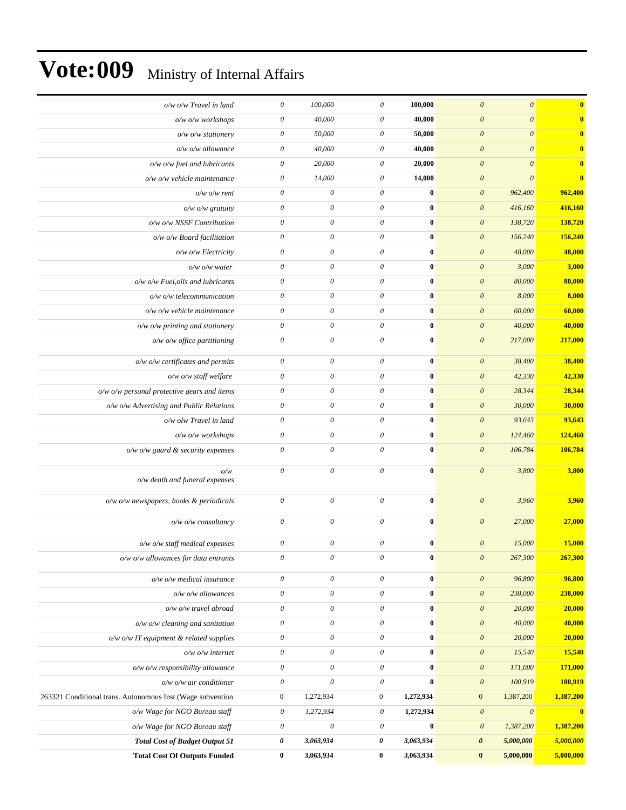| o/w o/w Travel in land                                     | $\boldsymbol{\mathit{0}}$ | 100,000                   | $\boldsymbol{\mathit{0}}$ | 100,000   | $\boldsymbol{\theta}$<br>$\boldsymbol{\theta}$ | $\bf{0}$                |
|------------------------------------------------------------|---------------------------|---------------------------|---------------------------|-----------|------------------------------------------------|-------------------------|
| $o/w$ $o/w$ workshops                                      | $\boldsymbol{\mathit{0}}$ | 40,000                    | $\theta$                  | 40,000    | $\boldsymbol{\theta}$<br>$\boldsymbol{\theta}$ | $\mathbf{0}$            |
| $o/w$ o/w stationery                                       | 0                         | 50,000                    | $\theta$                  | 50,000    | $\boldsymbol{0}$<br>$\theta$                   | $\bf{0}$                |
| o/w o/w allowance                                          | $\boldsymbol{\mathit{0}}$ | 40,000                    | $\boldsymbol{\theta}$     | 40,000    | $\boldsymbol{\theta}$<br>$\boldsymbol{\theta}$ | $\mathbf{0}$            |
| $o/w$ $o/w$ fuel and lubricants                            | 0                         | 20,000                    | $\boldsymbol{\theta}$     | 20,000    | $\boldsymbol{\theta}$<br>$\boldsymbol{\theta}$ | $\overline{\mathbf{0}}$ |
| o/w o/w vehicle maintenance                                | $\theta$                  | 14,000                    | $\boldsymbol{\mathit{0}}$ | 14,000    | $\boldsymbol{\theta}$<br>$\theta$              | $\bf{0}$                |
| $o/w$ o/w rent                                             | 0                         | $\mathcal O$              | $\boldsymbol{\theta}$     | $\bf{0}$  | $\boldsymbol{\theta}$<br>962,400               | 962,400                 |
| $o/w$ $o/w$ gratuity                                       | 0                         | $\boldsymbol{\mathit{0}}$ | $\boldsymbol{\theta}$     | $\bf{0}$  | 416,160<br>$\boldsymbol{0}$                    | 416,160                 |
| o/w o/w NSSF Contribution                                  | $\boldsymbol{\mathit{0}}$ | $\boldsymbol{\mathit{0}}$ | $\boldsymbol{\mathit{0}}$ | $\bf{0}$  | $\boldsymbol{\theta}$<br>138,720               | 138,720                 |
| o/w o/w Board facilitation                                 | $\boldsymbol{\mathit{0}}$ | 0                         | $\boldsymbol{\theta}$     | $\bf{0}$  | $\boldsymbol{0}$<br>156,240                    | 156,240                 |
| o/w o/w Electricity                                        | $\boldsymbol{\mathit{0}}$ | $\boldsymbol{\mathit{0}}$ | $\boldsymbol{\theta}$     | $\bf{0}$  | 48,000<br>$\boldsymbol{\theta}$                | 48,000                  |
| $o/w$ $o/w$ water                                          | 0                         | 0                         | $\theta$                  | $\bf{0}$  | $\boldsymbol{\theta}$<br>3,000                 | 3,000                   |
| o/w o/w Fuel, oils and lubricants                          | 0                         | 0                         | $\boldsymbol{\theta}$     | $\bf{0}$  | 80,000<br>$\boldsymbol{0}$                     | 80,000                  |
| o/w o/w telecommunication                                  | $\boldsymbol{\mathit{0}}$ | $\boldsymbol{\mathit{0}}$ | $\boldsymbol{\mathit{0}}$ | $\bf{0}$  | $\boldsymbol{\theta}$<br>8,000                 | 8,000                   |
| o/w o/w vehicle maintenance                                | $\boldsymbol{\mathit{0}}$ | 0                         | $\theta$                  | $\bf{0}$  | 60,000<br>$\boldsymbol{0}$                     | 60,000                  |
| $o/w$ $o/w$ printing and stationery                        | $\boldsymbol{\mathit{0}}$ | $\boldsymbol{\mathit{0}}$ | $\boldsymbol{\theta}$     | $\bf{0}$  | $\boldsymbol{\theta}$<br>40,000                | 40,000                  |
| $o/w$ $o/w$ office partitioning                            | $\boldsymbol{\mathit{0}}$ | $\boldsymbol{\mathit{0}}$ | $\theta$                  | $\bf{0}$  | $\boldsymbol{0}$<br>217,000                    | 217,000                 |
| o/w o/w certificates and permits                           | 0                         | 0                         | $\boldsymbol{\theta}$     | $\bf{0}$  | 38,400<br>$\boldsymbol{0}$                     | 38,400                  |
| o/w o/w staff welfare                                      | 0                         | $\boldsymbol{\mathit{0}}$ | $\theta$                  | $\bf{0}$  | $\boldsymbol{\theta}$<br>42,330                | 42,330                  |
| o/w o/w personal protective gears and items                | $\theta$                  | $\theta$                  | $\theta$                  | $\bf{0}$  | $\boldsymbol{0}$<br>28,344                     | 28,344                  |
| o/w o/w Advertising and Public Relations                   | $\boldsymbol{\mathit{0}}$ | $\boldsymbol{\mathit{0}}$ | $\boldsymbol{\mathit{0}}$ | $\bf{0}$  | $\boldsymbol{\theta}$<br>30,000                | 30,000                  |
| o/w olw Travel in land                                     | 0                         | $\boldsymbol{\theta}$     | $\boldsymbol{\theta}$     | $\bf{0}$  | $\boldsymbol{0}$<br>93,643                     | 93,643                  |
| o/w o/w workshops                                          | 0                         | 0                         | $\boldsymbol{\theta}$     | $\bf{0}$  | 124,460<br>$\boldsymbol{0}$                    | 124,460                 |
| $o/w$ $o/w$ guard $\&$ security expenses                   | 0                         | $\boldsymbol{\mathit{0}}$ | $\boldsymbol{\mathit{0}}$ | $\bf{0}$  | $\boldsymbol{0}$<br>106,784                    | 106,784                 |
| o/w<br>o/w death and funeral expenses                      | $\theta$                  | $\boldsymbol{\mathit{0}}$ | $\theta$                  | $\bf{0}$  | $\theta$<br>3,800                              | 3,800                   |
| $o/w$ $o/w$ newspapers, books $\&$ periodicals             | $\boldsymbol{\mathit{0}}$ | $\boldsymbol{\theta}$     | $\boldsymbol{\mathit{0}}$ | $\bf{0}$  | $\boldsymbol{\theta}$<br>3,960                 | 3,960                   |
| o/w o/w consultancy                                        | $\boldsymbol{\theta}$     | $\boldsymbol{\theta}$     | $\boldsymbol{\theta}$     | $\bf{0}$  | $\boldsymbol{\theta}$<br>27,000                | 27,000                  |
| o/w o/w staff medical expenses                             | 0                         | $\boldsymbol{\mathit{0}}$ | $\boldsymbol{\theta}$     | $\bf{0}$  | $\boldsymbol{\theta}$<br>15,000                | 15,000                  |
| o/w o/w allowances for data entrants                       | 0                         | $\theta$                  | $\theta$                  | $\bf{0}$  | 267,300<br>$\boldsymbol{\theta}$               | 267,300                 |
| o/w o/w medical insurance                                  | $\boldsymbol{\mathit{0}}$ | $\theta$                  | $\boldsymbol{\theta}$     | $\bf{0}$  | 96,800<br>$\boldsymbol{\theta}$                | 96,800                  |
| o/w o/w allowances                                         | $\boldsymbol{\theta}$     | $\boldsymbol{\theta}$     | $\boldsymbol{\theta}$     | $\bf{0}$  | $\boldsymbol{\theta}$<br>238,000               | 238,000                 |
| o/w o/w travel abroad                                      | $\boldsymbol{\mathit{0}}$ | $\boldsymbol{\theta}$     | $\boldsymbol{\theta}$     | $\bf{0}$  | $\boldsymbol{\theta}$<br>20,000                | 20,000                  |
| o/w o/w cleaning and sanitation                            | $\boldsymbol{\theta}$     | $\boldsymbol{\theta}$     | $\boldsymbol{\theta}$     | $\bf{0}$  | $\boldsymbol{\theta}$<br>40,000                | 40,000                  |
| $o/w$ o/w IT equipment & related supplies                  | 0                         | $\theta$                  | $\theta$                  | $\bf{0}$  | 20,000<br>$\boldsymbol{\theta}$                | 20,000                  |
| $o/w$ o/w internet                                         | $\boldsymbol{\theta}$     | $\boldsymbol{\theta}$     | $\boldsymbol{\mathit{0}}$ | $\bf{0}$  | $\boldsymbol{\theta}$<br>15,540                | 15,540                  |
| o/w o/w responsibility allowance                           | $\boldsymbol{\theta}$     | $\boldsymbol{\theta}$     | $\boldsymbol{\theta}$     | $\bf{0}$  | $\boldsymbol{\theta}$<br>171,000               | 171,000                 |
| o/w o/w air conditioner                                    | $\boldsymbol{\mathit{0}}$ | $\boldsymbol{\mathit{0}}$ | $\boldsymbol{\theta}$     | $\bf{0}$  | $\boldsymbol{\theta}$<br>100,919               | 100,919                 |
| 263321 Conditional trans. Autonomous Inst (Wage subvention | $\boldsymbol{0}$          | 1,272,934                 | $\boldsymbol{0}$          | 1,272,934 | 1,387,200<br>$\boldsymbol{0}$                  | 1,387,200               |
| o/w Wage for NGO Bureau staff                              | $\boldsymbol{\theta}$     | 1,272,934                 | $\theta$                  | 1,272,934 | $\boldsymbol{\theta}$<br>$\theta$              | $\mathbf{0}$            |
| o/w Wage for NGO Bureau staff                              | $\boldsymbol{\mathit{0}}$ | $\boldsymbol{\theta}$     | $\theta$                  | $\bf{0}$  | $\boldsymbol{\theta}$<br>1,387,200             | 1,387,200               |
| <b>Total Cost of Budget Output 51</b>                      | $\boldsymbol{\theta}$     | 3,063,934                 | 0                         | 3,063,934 | 5,000,000<br>$\boldsymbol{\theta}$             | 5,000,000               |
| <b>Total Cost Of Outputs Funded</b>                        | $\bf{0}$                  | 3,063,934                 | $\bf{0}$                  | 3,063,934 | 5,000,000<br>$\bf{0}$                          | 5,000,000               |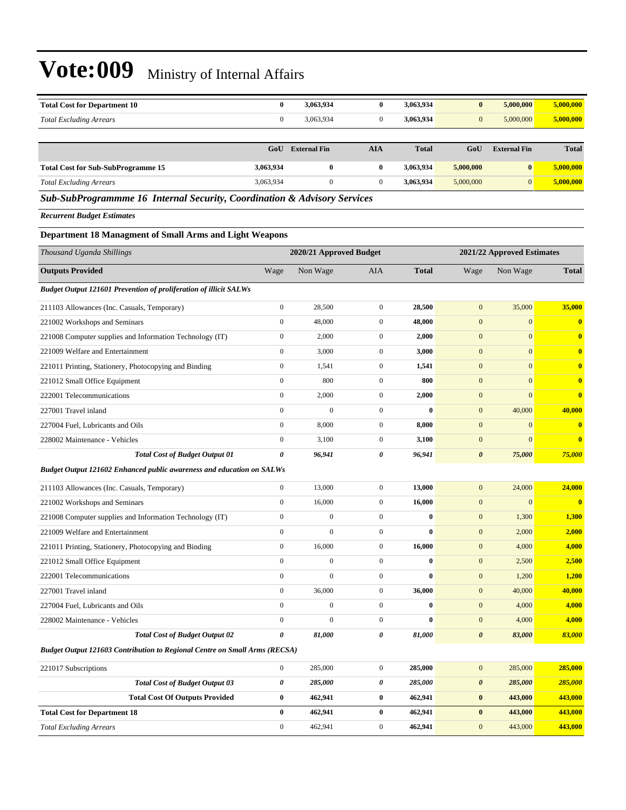| $\bf{0}$     | 3,063,934           | 0            | 3,063,934    | $\bf{0}$     | 5,000,000           | 5,000,000    |
|--------------|---------------------|--------------|--------------|--------------|---------------------|--------------|
| $\mathbf{0}$ | 3,063,934           | $\mathbf{0}$ | 3,063,934    | $\mathbf{0}$ | 5,000,000           | 5,000,000    |
|              |                     |              |              |              |                     |              |
| GoU          | <b>External Fin</b> | AIA          | <b>Total</b> | GoU          | <b>External Fin</b> | <b>Total</b> |
| 3,063,934    | $\bf{0}$            | $\mathbf{0}$ | 3.063.934    | 5,000,000    | $\mathbf{0}$        | 5,000,000    |
| 3,063,934    | $\mathbf{0}$        | $\mathbf{0}$ | 3.063.934    | 5,000,000    | $\overline{0}$      | 5,000,000    |
|              |                     |              |              |              |                     |              |

*Sub-SubProgrammme 16 Internal Security, Coordination & Advisory Services*

*Recurrent Budget Estimates*

#### **Department 18 Managment of Small Arms and Light Weapons**

| Thousand Uganda Shillings                                                         |                  | 2020/21 Approved Budget |                  |          |                       | 2021/22 Approved Estimates |              |
|-----------------------------------------------------------------------------------|------------------|-------------------------|------------------|----------|-----------------------|----------------------------|--------------|
| <b>Outputs Provided</b>                                                           | Wage             | Non Wage                | AIA              | Total    | Wage                  | Non Wage                   | <b>Total</b> |
| <b>Budget Output 121601 Prevention of proliferation of illicit SALWs</b>          |                  |                         |                  |          |                       |                            |              |
| 211103 Allowances (Inc. Casuals, Temporary)                                       | $\boldsymbol{0}$ | 28,500                  | $\boldsymbol{0}$ | 28,500   | $\mathbf{0}$          | 35,000                     | 35,000       |
| 221002 Workshops and Seminars                                                     | $\mathbf{0}$     | 48,000                  | $\overline{0}$   | 48,000   | $\mathbf{0}$          | $\mathbf{0}$               | $\bf{0}$     |
| 221008 Computer supplies and Information Technology (IT)                          | $\boldsymbol{0}$ | 2,000                   | $\overline{0}$   | 2,000    | $\mathbf{0}$          | $\mathbf{0}$               | $\bf{0}$     |
| 221009 Welfare and Entertainment                                                  | $\boldsymbol{0}$ | 3,000                   | $\overline{0}$   | 3,000    | $\mathbf{0}$          | $\overline{0}$             | $\bf{0}$     |
| 221011 Printing, Stationery, Photocopying and Binding                             | $\boldsymbol{0}$ | 1,541                   | $\overline{0}$   | 1,541    | $\mathbf{0}$          | $\overline{0}$             | $\bf{0}$     |
| 221012 Small Office Equipment                                                     | $\mathbf{0}$     | 800                     | $\boldsymbol{0}$ | 800      | $\mathbf{0}$          | $\overline{0}$             | $\bf{0}$     |
| 222001 Telecommunications                                                         | $\boldsymbol{0}$ | 2,000                   | $\overline{0}$   | 2,000    | $\mathbf{0}$          | $\overline{0}$             | $\bf{0}$     |
| 227001 Travel inland                                                              | $\mathbf{0}$     | $\mathbf{0}$            | $\overline{0}$   | $\bf{0}$ | $\mathbf{0}$          | 40,000                     | 40,000       |
| 227004 Fuel, Lubricants and Oils                                                  | $\mathbf{0}$     | 8,000                   | $\overline{0}$   | 8,000    | $\mathbf{0}$          | $\mathbf{0}$               | $\bf{0}$     |
| 228002 Maintenance - Vehicles                                                     | $\boldsymbol{0}$ | 3,100                   | $\boldsymbol{0}$ | 3,100    | $\mathbf{0}$          | $\boldsymbol{0}$           | $\bf{0}$     |
| <b>Total Cost of Budget Output 01</b>                                             | 0                | 96,941                  | 0                | 96,941   | $\boldsymbol{\theta}$ | 75,000                     | 75,000       |
| Budget Output 121602 Enhanced public awareness and education on SALWs             |                  |                         |                  |          |                       |                            |              |
| 211103 Allowances (Inc. Casuals, Temporary)                                       | $\boldsymbol{0}$ | 13,000                  | $\overline{0}$   | 13,000   | $\mathbf{0}$          | 24,000                     | 24,000       |
| 221002 Workshops and Seminars                                                     | $\mathbf{0}$     | 16,000                  | $\mathbf{0}$     | 16,000   | $\mathbf{0}$          | $\overline{0}$             | $\bf{0}$     |
| 221008 Computer supplies and Information Technology (IT)                          | $\boldsymbol{0}$ | $\boldsymbol{0}$        | $\boldsymbol{0}$ | $\bf{0}$ | $\mathbf{0}$          | 1,300                      | 1,300        |
| 221009 Welfare and Entertainment                                                  | $\mathbf{0}$     | $\overline{0}$          | $\overline{0}$   | $\bf{0}$ | $\mathbf{0}$          | 2,000                      | 2,000        |
| 221011 Printing, Stationery, Photocopying and Binding                             | $\boldsymbol{0}$ | 16,000                  | $\overline{0}$   | 16,000   | $\mathbf{0}$          | 4,000                      | 4,000        |
| 221012 Small Office Equipment                                                     | $\boldsymbol{0}$ | $\boldsymbol{0}$        | $\boldsymbol{0}$ | $\bf{0}$ | $\mathbf{0}$          | 2,500                      | 2,500        |
| 222001 Telecommunications                                                         | $\boldsymbol{0}$ | $\mathbf{0}$            | $\overline{0}$   | $\bf{0}$ | $\mathbf{0}$          | 1,200                      | 1,200        |
| 227001 Travel inland                                                              | $\mathbf{0}$     | 36,000                  | $\overline{0}$   | 36,000   | $\mathbf{0}$          | 40,000                     | 40,000       |
| 227004 Fuel, Lubricants and Oils                                                  | $\mathbf{0}$     | $\mathbf{0}$            | $\overline{0}$   | $\bf{0}$ | $\mathbf{0}$          | 4,000                      | 4,000        |
| 228002 Maintenance - Vehicles                                                     | $\boldsymbol{0}$ | $\overline{0}$          | $\overline{0}$   | $\bf{0}$ | $\mathbf{0}$          | 4,000                      | 4,000        |
| <b>Total Cost of Budget Output 02</b>                                             | 0                | 81,000                  | 0                | 81,000   | $\boldsymbol{\theta}$ | 83,000                     | 83,000       |
| <b>Budget Output 121603 Contribution to Regional Centre on Small Arms (RECSA)</b> |                  |                         |                  |          |                       |                            |              |
| 221017 Subscriptions                                                              | $\boldsymbol{0}$ | 285,000                 | $\overline{0}$   | 285,000  | $\mathbf{0}$          | 285,000                    | 285,000      |
| <b>Total Cost of Budget Output 03</b>                                             | 0                | 285,000                 | 0                | 285,000  | $\boldsymbol{\theta}$ | 285,000                    | 285,000      |
| <b>Total Cost Of Outputs Provided</b>                                             | $\bf{0}$         | 462,941                 | 0                | 462,941  | $\bf{0}$              | 443,000                    | 443,000      |
| <b>Total Cost for Department 18</b>                                               | $\bf{0}$         | 462,941                 | 0                | 462,941  | $\bf{0}$              | 443,000                    | 443,000      |
| <b>Total Excluding Arrears</b>                                                    | $\mathbf{0}$     | 462,941                 | $\Omega$         | 462,941  | $\mathbf{0}$          | 443,000                    | 443,000      |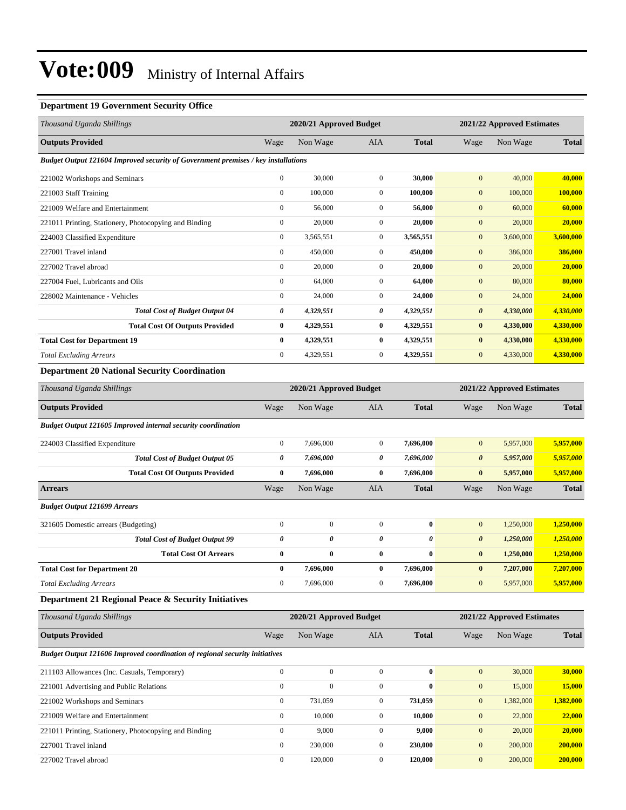### **Department 19 Government Security Office**

| Thousand Uganda Shillings                                                         |                  | 2020/21 Approved Budget |                       |              |                       | 2021/22 Approved Estimates |              |
|-----------------------------------------------------------------------------------|------------------|-------------------------|-----------------------|--------------|-----------------------|----------------------------|--------------|
| <b>Outputs Provided</b>                                                           | Wage             | Non Wage                | AIA                   | <b>Total</b> | Wage                  | Non Wage                   | <b>Total</b> |
| Budget Output 121604 Improved security of Government premises / key installations |                  |                         |                       |              |                       |                            |              |
| 221002 Workshops and Seminars                                                     | $\boldsymbol{0}$ | 30,000                  | $\mathbf{0}$          | 30,000       | $\mathbf{0}$          | 40,000                     | 40,000       |
| 221003 Staff Training                                                             | $\boldsymbol{0}$ | 100,000                 | $\mathbf{0}$          | 100,000      | $\mathbf{0}$          | 100,000                    | 100,000      |
| 221009 Welfare and Entertainment                                                  | $\boldsymbol{0}$ | 56,000                  | $\mathbf{0}$          | 56,000       | $\mathbf{0}$          | 60,000                     | 60,000       |
| 221011 Printing, Stationery, Photocopying and Binding                             | $\boldsymbol{0}$ | 20,000                  | $\mathbf{0}$          | 20,000       | $\boldsymbol{0}$      | 20,000                     | 20,000       |
| 224003 Classified Expenditure                                                     | $\boldsymbol{0}$ | 3,565,551               | $\mathbf{0}$          | 3,565,551    | $\mathbf{0}$          | 3,600,000                  | 3,600,000    |
| 227001 Travel inland                                                              | $\boldsymbol{0}$ | 450,000                 | $\mathbf{0}$          | 450,000      | $\mathbf{0}$          | 386,000                    | 386,000      |
| 227002 Travel abroad                                                              | $\boldsymbol{0}$ | 20,000                  | $\mathbf{0}$          | 20,000       | $\mathbf{0}$          | 20,000                     | 20,000       |
| 227004 Fuel, Lubricants and Oils                                                  | $\boldsymbol{0}$ | 64,000                  | $\mathbf{0}$          | 64,000       | $\mathbf{0}$          | 80,000                     | 80,000       |
| 228002 Maintenance - Vehicles                                                     | $\boldsymbol{0}$ | 24,000                  | $\mathbf{0}$          | 24,000       | $\mathbf{0}$          | 24,000                     | 24,000       |
| <b>Total Cost of Budget Output 04</b>                                             | 0                | 4,329,551               | 0                     | 4,329,551    | $\pmb{\theta}$        | 4,330,000                  | 4,330,000    |
| <b>Total Cost Of Outputs Provided</b>                                             | 0                | 4,329,551               | $\bf{0}$              | 4,329,551    | $\bf{0}$              | 4,330,000                  | 4,330,000    |
| <b>Total Cost for Department 19</b>                                               | 0                | 4,329,551               | $\bf{0}$              | 4,329,551    | $\bf{0}$              | 4,330,000                  | 4,330,000    |
| <b>Total Excluding Arrears</b>                                                    | $\boldsymbol{0}$ | 4,329,551               | $\mathbf{0}$          | 4,329,551    | $\mathbf{0}$          | 4,330,000                  | 4,330,000    |
| <b>Department 20 National Security Coordination</b>                               |                  |                         |                       |              |                       |                            |              |
| Thousand Uganda Shillings                                                         |                  | 2020/21 Approved Budget |                       |              |                       | 2021/22 Approved Estimates |              |
| <b>Outputs Provided</b>                                                           | Wage             | Non Wage                | AIA                   | <b>Total</b> | Wage                  | Non Wage                   | <b>Total</b> |
| <b>Budget Output 121605 Improved internal security coordination</b>               |                  |                         |                       |              |                       |                            |              |
| 224003 Classified Expenditure                                                     | $\boldsymbol{0}$ | 7,696,000               | $\mathbf{0}$          | 7,696,000    | $\mathbf{0}$          | 5,957,000                  | 5,957,000    |
| <b>Total Cost of Budget Output 05</b>                                             | 0                | 7,696,000               | 0                     | 7,696,000    | $\boldsymbol{\theta}$ | 5,957,000                  | 5,957,000    |
| <b>Total Cost Of Outputs Provided</b>                                             | 0                | 7,696,000               | $\bf{0}$              | 7,696,000    | $\bf{0}$              | 5,957,000                  | 5,957,000    |
| <b>Arrears</b>                                                                    | Wage             | Non Wage                | AIA                   | <b>Total</b> | Wage                  | Non Wage                   | <b>Total</b> |
| <b>Budget Output 121699 Arrears</b>                                               |                  |                         |                       |              |                       |                            |              |
| 321605 Domestic arrears (Budgeting)                                               | $\boldsymbol{0}$ | $\boldsymbol{0}$        | $\mathbf{0}$          | $\bf{0}$     | $\mathbf{0}$          | 1,250,000                  | 1,250,000    |
| <b>Total Cost of Budget Output 99</b>                                             | 0                | 0                       | $\boldsymbol{\theta}$ | 0            | $\boldsymbol{\theta}$ | 1,250,000                  | 1,250,000    |
| <b>Total Cost Of Arrears</b>                                                      | 0                | $\bf{0}$                | $\bf{0}$              | $\bf{0}$     | $\bf{0}$              | 1,250,000                  | 1,250,000    |
| <b>Total Cost for Department 20</b>                                               | 0                | 7,696,000               | $\bf{0}$              | 7,696,000    | $\bf{0}$              | 7,207,000                  | 7,207,000    |
| <b>Total Excluding Arrears</b>                                                    | $\boldsymbol{0}$ | 7,696,000               | $\mathbf{0}$          | 7,696,000    | $\mathbf{0}$          | 5,957,000                  | 5,957,000    |
| Department 21 Regional Peace & Security Initiatives                               |                  |                         |                       |              |                       |                            |              |
| Thousand Uganda Shillings                                                         |                  | 2020/21 Approved Budget |                       |              |                       | 2021/22 Approved Estimates |              |
| <b>Outputs Provided</b>                                                           | Wage             | Non Wage                | AIA                   | <b>Total</b> | Wage                  | Non Wage                   | <b>Total</b> |
| Budget Output 121606 Improved coordination of regional security initiatives       |                  |                         |                       |              |                       |                            |              |
| 211103 Allowances (Inc. Casuals, Temporary)                                       | $\boldsymbol{0}$ | $\mathbf{0}$            | $\mathbf{0}$          | $\bf{0}$     | $\boldsymbol{0}$      | 30,000                     | 30,000       |
| 221001 Advertising and Public Relations                                           | $\overline{0}$   | $\mathbf{0}$            | $\mathbf{0}$          | $\bf{0}$     | $\boldsymbol{0}$      | 15,000                     | 15,000       |
| 221002 Workshops and Seminars                                                     | $\boldsymbol{0}$ | 731,059                 | $\boldsymbol{0}$      | 731,059      | $\boldsymbol{0}$      | 1,382,000                  | 1,382,000    |
| 221009 Welfare and Entertainment                                                  | $\boldsymbol{0}$ | 10,000                  | $\boldsymbol{0}$      | 10,000       | $\boldsymbol{0}$      | 22,000                     | 22,000       |
| 221011 Printing, Stationery, Photocopying and Binding                             | $\boldsymbol{0}$ | 9,000                   | $\mathbf{0}$          | 9,000        | $\boldsymbol{0}$      | 20,000                     | 20,000       |
| 227001 Travel inland                                                              | $\boldsymbol{0}$ | 230,000                 | $\mathbf{0}$          | 230,000      | $\mathbf{0}$          | 200,000                    | 200,000      |
| 227002 Travel abroad                                                              | $\boldsymbol{0}$ | 120,000                 | $\boldsymbol{0}$      | 120,000      | $\boldsymbol{0}$      | 200,000                    | 200,000      |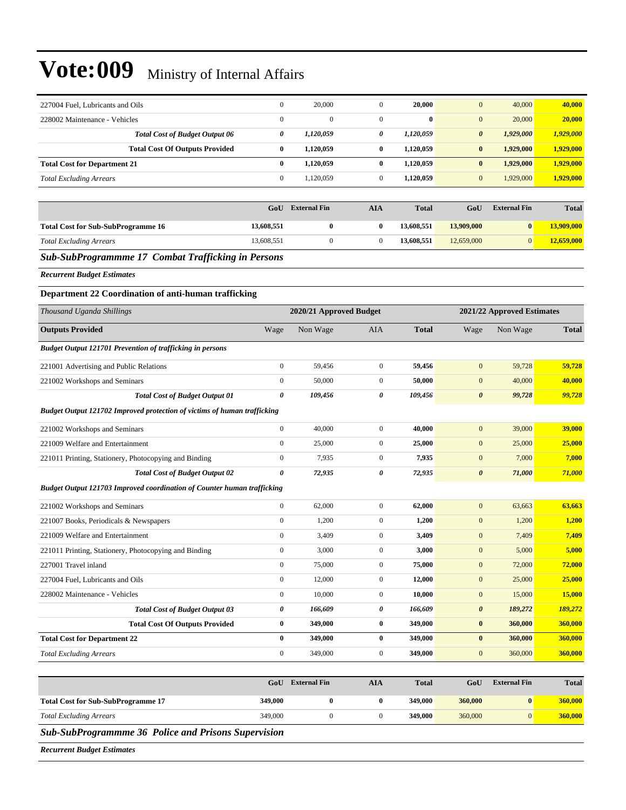| 227004 Fuel, Lubricants and Oils      | $\Omega$ | 20,000    |   | 20,000       | 40,000<br>$\overline{0}$           | 40,000    |
|---------------------------------------|----------|-----------|---|--------------|------------------------------------|-----------|
| 228002 Maintenance - Vehicles         | $\Omega$ | 0         |   | $\mathbf{0}$ | 20,000<br>$\mathbf{0}$             | 20,000    |
| <b>Total Cost of Budget Output 06</b> | 0        | 1,120,059 | 0 | 1,120,059    | $\boldsymbol{\theta}$<br>1,929,000 | 1,929,000 |
| <b>Total Cost Of Outputs Provided</b> | $\bf{0}$ | 1.120.059 | 0 | 1.120.059    | 1.929.000<br>$\bf{0}$              | 1,929,000 |
| <b>Total Cost for Department 21</b>   | 0        | 1.120.059 | 0 | 1.120.059    | 1.929.000<br>$\bf{0}$              | 1,929,000 |
| <b>Total Excluding Arrears</b>        | $\Omega$ | 120.059   |   | 1.120.059    | $\mathbf{0}$<br>1,929,000          | 1,929,000 |

|                                           | GoU        | <b>External Fin</b> | AIA | <b>Total</b> | GoU        | <b>External Fin</b> | <b>Total</b>      |
|-------------------------------------------|------------|---------------------|-----|--------------|------------|---------------------|-------------------|
| <b>Total Cost for Sub-SubProgramme 16</b> | 13,608,551 |                     |     | 13,608,551   | 13,909,000 | $\mathbf{0}$        | <b>13,909,000</b> |
| <b>Total Excluding Arrears</b>            | 13,608,551 |                     |     | 13,608,551   | 12,659,000 |                     | 12,659,000        |

#### *Sub-SubProgrammme 17 Combat Trafficking in Persons*

*Recurrent Budget Estimates*

#### **Department 22 Coordination of anti-human trafficking**

| Thousand Uganda Shillings                                                |                       | 2020/21 Approved Budget |                  |              |                       | 2021/22 Approved Estimates |              |
|--------------------------------------------------------------------------|-----------------------|-------------------------|------------------|--------------|-----------------------|----------------------------|--------------|
| <b>Outputs Provided</b>                                                  | Wage                  | Non Wage                | <b>AIA</b>       | <b>Total</b> | Wage                  | Non Wage                   | <b>Total</b> |
| <b>Budget Output 121701 Prevention of trafficking in persons</b>         |                       |                         |                  |              |                       |                            |              |
| 221001 Advertising and Public Relations                                  | $\overline{0}$        | 59.456                  | $\mathbf{0}$     | 59,456       | $\mathbf{0}$          | 59,728                     | 59,728       |
| 221002 Workshops and Seminars                                            | $\mathbf{0}$          | 50,000                  | $\boldsymbol{0}$ | 50,000       | $\mathbf{0}$          | 40,000                     | 40,000       |
| <b>Total Cost of Budget Output 01</b>                                    | $\boldsymbol{\theta}$ | 109,456                 | 0                | 109,456      | $\boldsymbol{\theta}$ | 99,728                     | 99,728       |
| Budget Output 121702 Improved protection of victims of human trafficking |                       |                         |                  |              |                       |                            |              |
| 221002 Workshops and Seminars                                            | $\mathbf{0}$          | 40,000                  | $\overline{0}$   | 40.000       | $\mathbf{0}$          | 39,000                     | 39,000       |
| 221009 Welfare and Entertainment                                         | $\boldsymbol{0}$      | 25,000                  | $\mathbf{0}$     | 25,000       | $\mathbf{0}$          | 25,000                     | 25,000       |
| 221011 Printing, Stationery, Photocopying and Binding                    | $\boldsymbol{0}$      | 7,935                   | $\boldsymbol{0}$ | 7,935        | $\mathbf{0}$          | 7,000                      | 7,000        |
| <b>Total Cost of Budget Output 02</b>                                    | $\boldsymbol{\theta}$ | 72,935                  | 0                | 72,935       | $\boldsymbol{\theta}$ | 71,000                     | 71,000       |
| Budget Output 121703 Improved coordination of Counter human trafficking  |                       |                         |                  |              |                       |                            |              |
| 221002 Workshops and Seminars                                            | $\mathbf{0}$          | 62,000                  | $\overline{0}$   | 62,000       | $\mathbf{0}$          | 63,663                     | 63,663       |
| 221007 Books, Periodicals & Newspapers                                   | $\boldsymbol{0}$      | 1,200                   | $\overline{0}$   | 1,200        | $\mathbf{0}$          | 1,200                      | 1,200        |
| 221009 Welfare and Entertainment                                         | $\mathbf{0}$          | 3,409                   | $\overline{0}$   | 3,409        | $\mathbf{0}$          | 7,409                      | 7,409        |
| 221011 Printing, Stationery, Photocopying and Binding                    | $\boldsymbol{0}$      | 3,000                   | $\mathbf{0}$     | 3,000        | $\mathbf{0}$          | 5,000                      | 5,000        |
| 227001 Travel inland                                                     | $\overline{0}$        | 75,000                  | $\boldsymbol{0}$ | 75,000       | $\mathbf{0}$          | 72,000                     | 72,000       |
| 227004 Fuel, Lubricants and Oils                                         | $\overline{0}$        | 12,000                  | $\overline{0}$   | 12,000       | $\mathbf{0}$          | 25,000                     | 25,000       |
| 228002 Maintenance - Vehicles                                            | $\boldsymbol{0}$      | 10,000                  | $\mathbf{0}$     | 10,000       | $\mathbf{0}$          | 15,000                     | 15,000       |
| <b>Total Cost of Budget Output 03</b>                                    | 0                     | 166,609                 | 0                | 166,609      | $\boldsymbol{\theta}$ | 189,272                    | 189,272      |
| <b>Total Cost Of Outputs Provided</b>                                    | $\bf{0}$              | 349,000                 | $\bf{0}$         | 349,000      | $\bf{0}$              | 360,000                    | 360,000      |
| <b>Total Cost for Department 22</b>                                      | $\bf{0}$              | 349,000                 | $\bf{0}$         | 349,000      | $\bf{0}$              | 360,000                    | 360,000      |
| <b>Total Excluding Arrears</b>                                           | $\mathbf{0}$          | 349,000                 | $\mathbf{0}$     | 349,000      | $\mathbf{0}$          | 360,000                    | 360,000      |

|                                           | GoU            | <b>External Fin</b> | AIA | <b>Total</b> | GoU     | <b>External Fin</b> | <b>Total</b> |
|-------------------------------------------|----------------|---------------------|-----|--------------|---------|---------------------|--------------|
| <b>Total Cost for Sub-SubProgramme 17</b> | <b>349,000</b> |                     |     | 349,000      | 360,000 | $\bf{0}$            | 360,000      |
| <b>Total Excluding Arrears</b>            | 349,000        |                     |     | 349,000      | 360,000 | $\Omega$            | 360,000      |

*Sub-SubProgrammme 36 Police and Prisons Supervision*

*Recurrent Budget Estimates*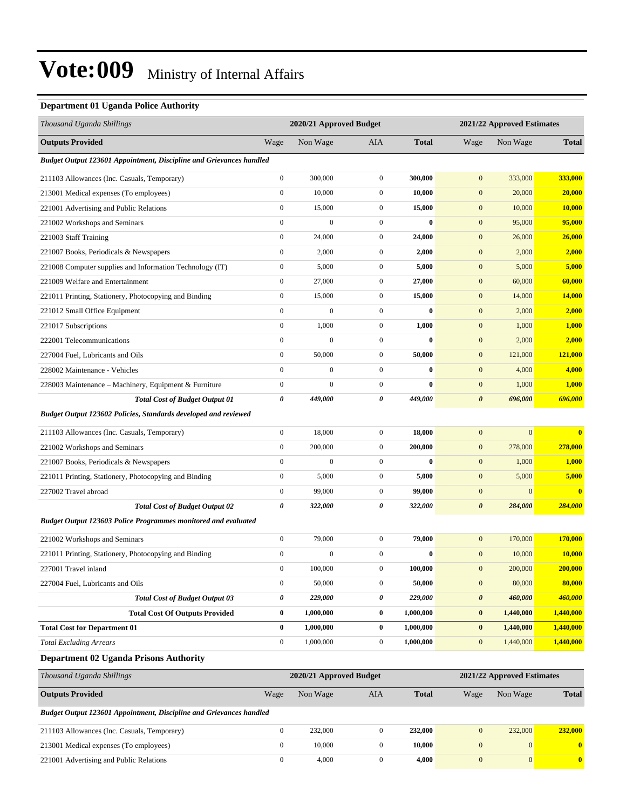### **Department 01 Uganda Police Authority**

| Thousand Uganda Shillings                                           |                  | 2020/21 Approved Budget |                  |              |                       | 2021/22 Approved Estimates |                         |
|---------------------------------------------------------------------|------------------|-------------------------|------------------|--------------|-----------------------|----------------------------|-------------------------|
| <b>Outputs Provided</b>                                             | Wage             | Non Wage                | AIA              | <b>Total</b> | Wage                  | Non Wage                   | <b>Total</b>            |
| Budget Output 123601 Appointment, Discipline and Grievances handled |                  |                         |                  |              |                       |                            |                         |
| 211103 Allowances (Inc. Casuals, Temporary)                         | $\boldsymbol{0}$ | 300,000                 | $\boldsymbol{0}$ | 300,000      | $\mathbf{0}$          | 333,000                    | 333,000                 |
| 213001 Medical expenses (To employees)                              | $\boldsymbol{0}$ | 10,000                  | $\boldsymbol{0}$ | 10,000       | $\mathbf{0}$          | 20,000                     | 20,000                  |
| 221001 Advertising and Public Relations                             | $\boldsymbol{0}$ | 15,000                  | $\mathbf{0}$     | 15,000       | $\mathbf{0}$          | 10,000                     | 10,000                  |
| 221002 Workshops and Seminars                                       | $\boldsymbol{0}$ | $\mathbf{0}$            | $\boldsymbol{0}$ | $\bf{0}$     | $\mathbf{0}$          | 95,000                     | 95,000                  |
| 221003 Staff Training                                               | $\boldsymbol{0}$ | 24,000                  | $\boldsymbol{0}$ | 24,000       | $\mathbf{0}$          | 26,000                     | 26,000                  |
| 221007 Books, Periodicals & Newspapers                              | $\boldsymbol{0}$ | 2,000                   | $\boldsymbol{0}$ | 2,000        | $\mathbf{0}$          | 2,000                      | 2,000                   |
| 221008 Computer supplies and Information Technology (IT)            | $\boldsymbol{0}$ | 5,000                   | $\boldsymbol{0}$ | 5,000        | $\mathbf{0}$          | 5,000                      | 5,000                   |
| 221009 Welfare and Entertainment                                    | $\boldsymbol{0}$ | 27,000                  | $\boldsymbol{0}$ | 27,000       | $\mathbf{0}$          | 60,000                     | 60,000                  |
| 221011 Printing, Stationery, Photocopying and Binding               | $\boldsymbol{0}$ | 15,000                  | $\boldsymbol{0}$ | 15,000       | $\mathbf{0}$          | 14,000                     | 14,000                  |
| 221012 Small Office Equipment                                       | $\boldsymbol{0}$ | $\boldsymbol{0}$        | $\boldsymbol{0}$ | $\bf{0}$     | $\mathbf{0}$          | 2,000                      | 2,000                   |
| 221017 Subscriptions                                                | $\boldsymbol{0}$ | 1,000                   | $\boldsymbol{0}$ | 1,000        | $\mathbf{0}$          | 1,000                      | 1,000                   |
| 222001 Telecommunications                                           | $\boldsymbol{0}$ | $\boldsymbol{0}$        | $\boldsymbol{0}$ | $\bf{0}$     | $\mathbf{0}$          | 2,000                      | 2,000                   |
| 227004 Fuel, Lubricants and Oils                                    | $\boldsymbol{0}$ | 50,000                  | $\boldsymbol{0}$ | 50,000       | $\mathbf{0}$          | 121,000                    | 121,000                 |
| 228002 Maintenance - Vehicles                                       | $\boldsymbol{0}$ | $\boldsymbol{0}$        | $\boldsymbol{0}$ | $\bf{0}$     | $\mathbf{0}$          | 4,000                      | 4,000                   |
| 228003 Maintenance – Machinery, Equipment & Furniture               | $\boldsymbol{0}$ | $\boldsymbol{0}$        | $\boldsymbol{0}$ | $\bf{0}$     | $\mathbf{0}$          | 1,000                      | 1,000                   |
| <b>Total Cost of Budget Output 01</b>                               | 0                | 449,000                 | 0                | 449,000      | $\boldsymbol{\theta}$ | 696,000                    | 696,000                 |
| Budget Output 123602 Policies, Standards developed and reviewed     |                  |                         |                  |              |                       |                            |                         |
| 211103 Allowances (Inc. Casuals, Temporary)                         | $\boldsymbol{0}$ | 18,000                  | $\boldsymbol{0}$ | 18,000       | $\mathbf{0}$          | $\mathbf{0}$               | $\overline{\mathbf{0}}$ |
| 221002 Workshops and Seminars                                       | $\boldsymbol{0}$ | 200,000                 | $\boldsymbol{0}$ | 200,000      | $\mathbf{0}$          | 278,000                    | 278,000                 |
| 221007 Books, Periodicals & Newspapers                              | $\boldsymbol{0}$ | $\boldsymbol{0}$        | $\boldsymbol{0}$ | $\bf{0}$     | $\mathbf{0}$          | 1,000                      | 1,000                   |
| 221011 Printing, Stationery, Photocopying and Binding               | $\boldsymbol{0}$ | 5,000                   | $\boldsymbol{0}$ | 5,000        | $\mathbf{0}$          | 5,000                      | 5,000                   |
| 227002 Travel abroad                                                | $\boldsymbol{0}$ | 99,000                  | $\boldsymbol{0}$ | 99,000       | $\mathbf{0}$          | $\mathbf{0}$               | $\overline{\mathbf{0}}$ |
| <b>Total Cost of Budget Output 02</b>                               | $\pmb{\theta}$   | 322,000                 | 0                | 322,000      | $\boldsymbol{\theta}$ | 284,000                    | 284,000                 |
| Budget Output 123603 Police Programmes monitored and evaluated      |                  |                         |                  |              |                       |                            |                         |
| 221002 Workshops and Seminars                                       | $\boldsymbol{0}$ | 79,000                  | $\boldsymbol{0}$ | 79,000       | $\mathbf{0}$          | 170,000                    | 170,000                 |
| 221011 Printing, Stationery, Photocopying and Binding               | $\boldsymbol{0}$ | $\overline{0}$          | $\boldsymbol{0}$ | $\bf{0}$     | $\mathbf{0}$          | 10,000                     | 10,000                  |
| 227001 Travel inland                                                | $\boldsymbol{0}$ | 100,000                 | $\boldsymbol{0}$ | 100,000      | $\mathbf{0}$          | 200,000                    | 200,000                 |
| 227004 Fuel, Lubricants and Oils                                    | $\boldsymbol{0}$ | 50,000                  | $\boldsymbol{0}$ | 50,000       | $\boldsymbol{0}$      | 80,000                     | 80,000                  |
| <b>Total Cost of Budget Output 03</b>                               | $\pmb{\theta}$   | 229,000                 | 0                | 229,000      | $\pmb{\theta}$        | 460,000                    | 460,000                 |
| <b>Total Cost Of Outputs Provided</b>                               | $\pmb{0}$        | 1,000,000               | $\bf{0}$         | 1,000,000    | $\bf{0}$              | 1,440,000                  | 1,440,000               |
| <b>Total Cost for Department 01</b>                                 | $\bf{0}$         | 1,000,000               | $\bf{0}$         | 1,000,000    | $\bf{0}$              | 1,440,000                  | 1,440,000               |
| <b>Total Excluding Arrears</b>                                      | $\boldsymbol{0}$ | 1,000,000               | $\boldsymbol{0}$ | 1,000,000    | $\mathbf{0}$          | 1,440,000                  | 1,440,000               |
| <b>Department 02 Uganda Prisons Authority</b>                       |                  |                         |                  |              |                       |                            |                         |
| Thousand Uganda Shillings                                           |                  | 2020/21 Approved Budget |                  |              |                       | 2021/22 Approved Estimates |                         |
| <b>Outputs Provided</b>                                             | Wage             | Non Wage                | AIA              | <b>Total</b> | Wage                  | Non Wage                   | <b>Total</b>            |
| Budget Output 123601 Appointment, Discipline and Grievances handled |                  |                         |                  |              |                       |                            |                         |
| 211103 Allowances (Inc. Casuals, Temporary)                         | $\boldsymbol{0}$ | 232,000                 | $\boldsymbol{0}$ | 232,000      | $\boldsymbol{0}$      | 232,000                    | 232,000                 |
| 213001 Medical expenses (To employees)                              | $\boldsymbol{0}$ | 10,000                  | $\boldsymbol{0}$ | 10,000       | $\boldsymbol{0}$      | $\mathbf{0}$               | $\bf{0}$                |
| 221001 Advertising and Public Relations                             | $\boldsymbol{0}$ | 4,000                   | $\boldsymbol{0}$ | 4,000        | $\boldsymbol{0}$      | $\mathbf{0}$               | $\overline{\mathbf{0}}$ |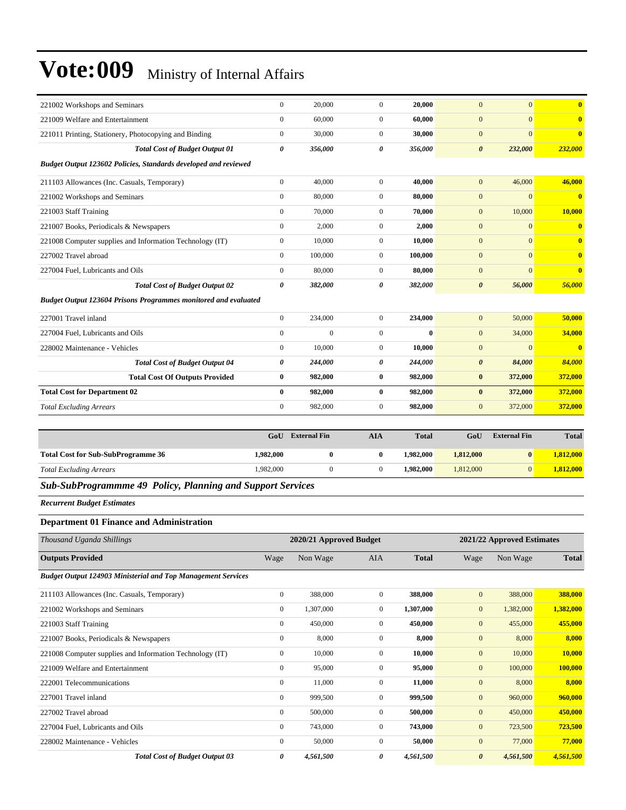| Sub-SubProgrammme 49 Policy, Planning and Support Services      |                                       |                     |                       |                    |                          |                     |                         |
|-----------------------------------------------------------------|---------------------------------------|---------------------|-----------------------|--------------------|--------------------------|---------------------|-------------------------|
| <b>Total Excluding Arrears</b>                                  | 1,982,000                             | $\boldsymbol{0}$    | $\boldsymbol{0}$      | 1,982,000          | 1,812,000                | $\overline{0}$      | 1,812,000               |
| <b>Total Cost for Sub-SubProgramme 36</b>                       | 1,982,000                             | $\bf{0}$            | $\bf{0}$              | 1,982,000          | 1,812,000                | $\bf{0}$            | 1,812,000               |
|                                                                 | GoU                                   | <b>External Fin</b> | <b>AIA</b>            | <b>Total</b>       | GoU                      | <b>External Fin</b> | <b>Total</b>            |
| <b>Total Excluding Arrears</b>                                  |                                       |                     |                       |                    |                          |                     |                         |
| <b>Total Cost for Department 02</b>                             | $\mathbf{0}$                          | 982,000<br>982,000  | $\overline{0}$        | 982,000<br>982,000 | $\bf{0}$<br>$\mathbf{0}$ | 372,000<br>372,000  | 372,000<br>372,000      |
| <b>Total Cost Of Outputs Provided</b>                           | $\bf{0}$                              | 982,000             | $\bf{0}$              | 982,000            | $\bf{0}$                 | 372,000             | 372,000                 |
| <b>Total Cost of Budget Output 04</b>                           | $\bf{0}$                              | 244,000             | $\bf{0}$              | 244,000            | $\boldsymbol{\theta}$    | 84,000              | 84,000                  |
| 228002 Maintenance - Vehicles                                   | $\mathbf{0}$<br>$\boldsymbol{\theta}$ | 10,000              | $\boldsymbol{0}$<br>0 | 10,000             | $\mathbf{0}$             | $\overline{0}$      | $\bf{0}$                |
| 227004 Fuel, Lubricants and Oils                                | $\theta$                              | $\Omega$            | $\overline{0}$        | $\bf{0}$           | $\overline{0}$           | 34,000              | 34,000                  |
| 227001 Travel inland                                            | $\overline{0}$                        | 234,000             | $\overline{0}$        | 234,000            | $\mathbf{0}$             | 50,000              | 50,000                  |
| Budget Output 123604 Prisons Programmes monitored and evaluated |                                       |                     |                       |                    |                          |                     |                         |
| <b>Total Cost of Budget Output 02</b>                           | $\boldsymbol{\theta}$                 | 382,000             | 0                     | 382,000            | $\boldsymbol{\theta}$    | 56,000              | 56,000                  |
| 227004 Fuel, Lubricants and Oils                                | $\mathbf{0}$                          | 80,000              | $\overline{0}$        | 80,000             | $\mathbf{0}$             | $\overline{0}$      | $\bf{0}$                |
| 227002 Travel abroad                                            | $\theta$                              | 100,000             | $\overline{0}$        | 100,000            | $\mathbf{0}$             | $\Omega$            | $\bf{0}$                |
| 221008 Computer supplies and Information Technology (IT)        | $\mathbf{0}$                          | 10,000              | $\boldsymbol{0}$      | 10,000             | $\mathbf{0}$             | $\Omega$            | $\bf{0}$                |
| 221007 Books, Periodicals & Newspapers                          | $\mathbf{0}$                          | 2,000               | $\boldsymbol{0}$      | 2,000              | $\mathbf{0}$             | $\overline{0}$      | $\bf{0}$                |
| 221003 Staff Training                                           | $\mathbf{0}$                          | 70,000              | $\overline{0}$        | 70.000             | $\mathbf{0}$             | 10,000              | 10,000                  |
| 221002 Workshops and Seminars                                   | $\mathbf{0}$                          | 80,000              | $\overline{0}$        | 80,000             | $\mathbf{0}$             | $\Omega$            | $\overline{\mathbf{0}}$ |
| 211103 Allowances (Inc. Casuals, Temporary)                     | $\boldsymbol{0}$                      | 40,000              | $\overline{0}$        | 40,000             | $\overline{0}$           | 46,000              | 46,000                  |
| Budget Output 123602 Policies, Standards developed and reviewed |                                       |                     |                       |                    |                          |                     |                         |
| <b>Total Cost of Budget Output 01</b>                           | $\boldsymbol{\theta}$                 | 356,000             | 0                     | 356,000            | $\boldsymbol{\theta}$    | 232,000             | 232,000                 |
| 221011 Printing, Stationery, Photocopying and Binding           | $\mathbf{0}$                          | 30,000              | $\overline{0}$        | 30,000             | $\mathbf{0}$             | $\Omega$            | $\bf{0}$                |
| 221009 Welfare and Entertainment                                | $\mathbf{0}$                          | 60,000              | $\overline{0}$        | 60,000             | $\mathbf{0}$             | $\Omega$            | $\bf{0}$                |
| 221002 Workshops and Seminars                                   | $\mathbf{0}$                          | 20,000              | $\boldsymbol{0}$      | 20,000             | $\overline{0}$           | $\overline{0}$      | $\bf{0}$                |

### **Department 01 Finance and Administration**

| Thousand Uganda Shillings                                           |                  | 2020/21 Approved Budget |                |              | 2021/22 Approved Estimates |           |              |
|---------------------------------------------------------------------|------------------|-------------------------|----------------|--------------|----------------------------|-----------|--------------|
| <b>Outputs Provided</b>                                             | Wage             | Non Wage                | AIA            | <b>Total</b> | Wage                       | Non Wage  | <b>Total</b> |
| <b>Budget Output 124903 Ministerial and Top Management Services</b> |                  |                         |                |              |                            |           |              |
| 211103 Allowances (Inc. Casuals, Temporary)                         | $\boldsymbol{0}$ | 388,000                 | $\overline{0}$ | 388,000      | $\mathbf{0}$               | 388,000   | 388,000      |
| 221002 Workshops and Seminars                                       | $\mathbf{0}$     | 1,307,000               | $\mathbf{0}$   | 1,307,000    | $\mathbf{0}$               | 1,382,000 | 1,382,000    |
| 221003 Staff Training                                               | $\overline{0}$   | 450,000                 | $\overline{0}$ | 450,000      | $\mathbf{0}$               | 455,000   | 455,000      |
| 221007 Books, Periodicals & Newspapers                              | $\mathbf{0}$     | 8,000                   | $\overline{0}$ | 8,000        | $\mathbf{0}$               | 8,000     | 8,000        |
| 221008 Computer supplies and Information Technology (IT)            | $\overline{0}$   | 10,000                  | $\overline{0}$ | 10,000       | $\mathbf{0}$               | 10,000    | 10,000       |
| 221009 Welfare and Entertainment                                    | $\mathbf{0}$     | 95,000                  | $\overline{0}$ | 95,000       | $\mathbf{0}$               | 100,000   | 100,000      |
| 222001 Telecommunications                                           | $\mathbf{0}$     | 11,000                  | $\overline{0}$ | 11,000       | $\mathbf{0}$               | 8,000     | 8,000        |
| 227001 Travel inland                                                | $\overline{0}$   | 999,500                 | $\overline{0}$ | 999,500      | $\mathbf{0}$               | 960,000   | 960,000      |
| 227002 Travel abroad                                                | $\mathbf{0}$     | 500,000                 | $\overline{0}$ | 500,000      | $\mathbf{0}$               | 450,000   | 450,000      |
| 227004 Fuel, Lubricants and Oils                                    | $\boldsymbol{0}$ | 743,000                 | $\overline{0}$ | 743,000      | $\mathbf{0}$               | 723,500   | 723,500      |
| 228002 Maintenance - Vehicles                                       | $\mathbf{0}$     | 50,000                  | $\overline{0}$ | 50,000       | $\mathbf{0}$               | 77,000    | 77,000       |
| <b>Total Cost of Budget Output 03</b>                               | 0                | 4,561,500               | 0              | 4,561,500    | $\boldsymbol{\theta}$      | 4,561,500 | 4,561,500    |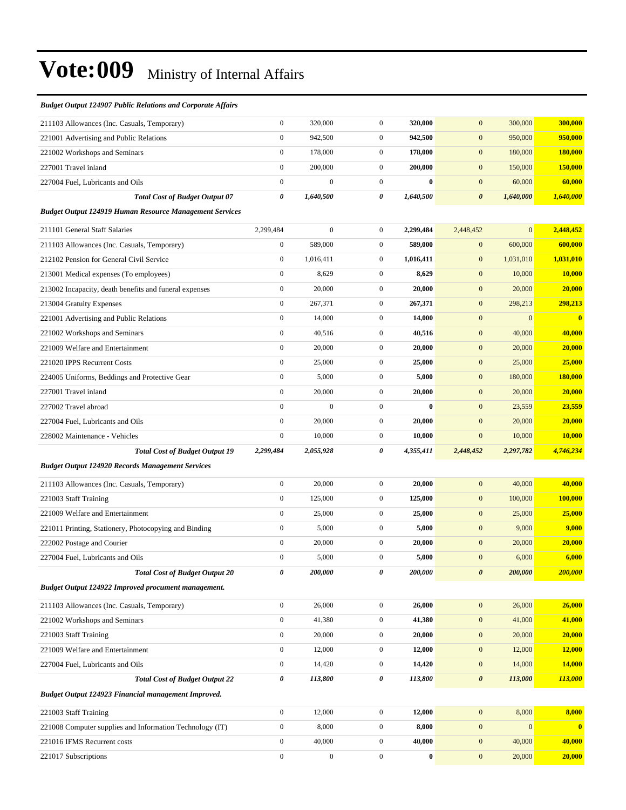| <b>Budget Output 124907 Public Relations and Corporate Affairs</b> |                  |                  |                  |           |                       |                  |                |
|--------------------------------------------------------------------|------------------|------------------|------------------|-----------|-----------------------|------------------|----------------|
| 211103 Allowances (Inc. Casuals, Temporary)                        | $\boldsymbol{0}$ | 320,000          | $\mathbf{0}$     | 320,000   | $\mathbf{0}$          | 300,000          | 300,000        |
| 221001 Advertising and Public Relations                            | $\boldsymbol{0}$ | 942,500          | $\overline{0}$   | 942,500   | $\mathbf{0}$          | 950,000          | 950,000        |
| 221002 Workshops and Seminars                                      | $\boldsymbol{0}$ | 178,000          | $\overline{0}$   | 178,000   | $\mathbf{0}$          | 180,000          | <b>180,000</b> |
| 227001 Travel inland                                               | $\boldsymbol{0}$ | 200,000          | $\mathbf{0}$     | 200,000   | $\mathbf{0}$          | 150,000          | 150,000        |
| 227004 Fuel, Lubricants and Oils                                   | $\boldsymbol{0}$ | $\overline{0}$   | $\mathbf{0}$     | $\bf{0}$  | $\mathbf{0}$          | 60,000           | 60,000         |
| <b>Total Cost of Budget Output 07</b>                              | 0                | 1,640,500        | 0                | 1,640,500 | $\boldsymbol{\theta}$ | 1,640,000        | 1,640,000      |
| <b>Budget Output 124919 Human Resource Management Services</b>     |                  |                  |                  |           |                       |                  |                |
| 211101 General Staff Salaries                                      | 2,299,484        | $\boldsymbol{0}$ | $\mathbf{0}$     | 2,299,484 | 2,448,452             | $\mathbf{0}$     | 2,448,452      |
| 211103 Allowances (Inc. Casuals, Temporary)                        | $\boldsymbol{0}$ | 589,000          | $\mathbf{0}$     | 589,000   | $\mathbf{0}$          | 600,000          | 600,000        |
| 212102 Pension for General Civil Service                           | $\boldsymbol{0}$ | 1,016,411        | $\mathbf{0}$     | 1,016,411 | $\mathbf{0}$          | 1,031,010        | 1,031,010      |
| 213001 Medical expenses (To employees)                             | $\boldsymbol{0}$ | 8,629            | $\overline{0}$   | 8,629     | $\mathbf{0}$          | 10,000           | 10,000         |
| 213002 Incapacity, death benefits and funeral expenses             | $\mathbf{0}$     | 20,000           | $\mathbf{0}$     | 20,000    | $\mathbf{0}$          | 20,000           | 20,000         |
| 213004 Gratuity Expenses                                           | $\boldsymbol{0}$ | 267,371          | $\mathbf{0}$     | 267,371   | $\mathbf{0}$          | 298,213          | 298,213        |
| 221001 Advertising and Public Relations                            | $\boldsymbol{0}$ | 14,000           | $\mathbf{0}$     | 14,000    | $\mathbf{0}$          | $\boldsymbol{0}$ | $\bf{0}$       |
| 221002 Workshops and Seminars                                      | $\boldsymbol{0}$ | 40,516           | $\mathbf{0}$     | 40,516    | $\mathbf{0}$          | 40,000           | 40,000         |
| 221009 Welfare and Entertainment                                   | $\boldsymbol{0}$ | 20,000           | $\overline{0}$   | 20,000    | $\mathbf{0}$          | 20,000           | 20,000         |
| 221020 IPPS Recurrent Costs                                        | $\mathbf{0}$     | 25,000           | $\mathbf{0}$     | 25,000    | $\mathbf{0}$          | 25,000           | 25,000         |
| 224005 Uniforms, Beddings and Protective Gear                      | $\boldsymbol{0}$ | 5,000            | $\mathbf{0}$     | 5,000     | $\mathbf{0}$          | 180,000          | 180,000        |
| 227001 Travel inland                                               | $\mathbf{0}$     | 20,000           | $\mathbf{0}$     | 20,000    | $\mathbf{0}$          | 20,000           | 20,000         |
| 227002 Travel abroad                                               | $\boldsymbol{0}$ | $\boldsymbol{0}$ | $\mathbf{0}$     | $\bf{0}$  | $\mathbf{0}$          | 23,559           | 23,559         |
| 227004 Fuel, Lubricants and Oils                                   | $\boldsymbol{0}$ | 20,000           | $\mathbf{0}$     | 20,000    | $\mathbf{0}$          | 20,000           | 20,000         |
| 228002 Maintenance - Vehicles                                      | $\mathbf{0}$     | 10,000           | $\mathbf{0}$     | 10,000    | $\boldsymbol{0}$      | 10,000           | 10,000         |
|                                                                    |                  |                  |                  |           |                       |                  |                |
| <b>Total Cost of Budget Output 19</b>                              | 2,299,484        | 2,055,928        | 0                | 4,355,411 | 2,448,452             | 2,297,782        | 4,746,234      |
| <b>Budget Output 124920 Records Management Services</b>            |                  |                  |                  |           |                       |                  |                |
| 211103 Allowances (Inc. Casuals, Temporary)                        | $\boldsymbol{0}$ | 20,000           | $\overline{0}$   | 20,000    | $\mathbf{0}$          | 40,000           | 40,000         |
| 221003 Staff Training                                              | $\boldsymbol{0}$ | 125,000          | $\mathbf{0}$     | 125,000   | $\mathbf{0}$          | 100,000          | 100,000        |
| 221009 Welfare and Entertainment                                   | $\boldsymbol{0}$ | 25,000           | $\mathbf{0}$     | 25,000    | $\mathbf{0}$          | 25,000           | 25,000         |
| 221011 Printing, Stationery, Photocopying and Binding              | $\boldsymbol{0}$ | 5,000            | $\overline{0}$   | 5,000     | $\mathbf{0}$          | 9,000            | 9,000          |
| 222002 Postage and Courier                                         | $\boldsymbol{0}$ | 20,000           | $\mathbf{0}$     | 20,000    | $\boldsymbol{0}$      | 20,000           | 20,000         |
| 227004 Fuel, Lubricants and Oils                                   | $\boldsymbol{0}$ | 5,000            | $\boldsymbol{0}$ | 5,000     | $\mathbf{0}$          | 6,000            | 6,000          |
| <b>Total Cost of Budget Output 20</b>                              | 0                | 200,000          | 0                | 200,000   | $\boldsymbol{\theta}$ | 200,000          | 200,000        |
| Budget Output 124922 Improved procument management.                |                  |                  |                  |           |                       |                  |                |
| 211103 Allowances (Inc. Casuals, Temporary)                        | $\boldsymbol{0}$ | 26,000           | $\boldsymbol{0}$ | 26,000    | $\mathbf{0}$          | 26,000           | 26,000         |
| 221002 Workshops and Seminars                                      | $\boldsymbol{0}$ | 41,380           | $\boldsymbol{0}$ | 41,380    | $\mathbf{0}$          | 41,000           | 41,000         |
| 221003 Staff Training                                              | $\boldsymbol{0}$ | 20,000           | $\boldsymbol{0}$ | 20,000    | $\mathbf{0}$          | 20,000           | 20,000         |
| 221009 Welfare and Entertainment                                   | $\boldsymbol{0}$ | 12,000           | $\boldsymbol{0}$ | 12,000    | $\boldsymbol{0}$      | 12,000           | <b>12,000</b>  |
| 227004 Fuel, Lubricants and Oils                                   | $\boldsymbol{0}$ | 14,420           | $\boldsymbol{0}$ | 14,420    | $\mathbf{0}$          | 14,000           | 14,000         |
| <b>Total Cost of Budget Output 22</b>                              | $\pmb{\theta}$   | 113,800          | 0                | 113,800   | $\boldsymbol{\theta}$ | 113,000          | 113,000        |
| Budget Output 124923 Financial management Improved.                |                  |                  |                  |           |                       |                  |                |
| 221003 Staff Training                                              | $\boldsymbol{0}$ | 12,000           | $\boldsymbol{0}$ | 12,000    | $\mathbf{0}$          | 8,000            | 8,000          |
| 221008 Computer supplies and Information Technology (IT)           | $\boldsymbol{0}$ | 8,000            | $\mathbf{0}$     | 8,000     | $\mathbf{0}$          | $\mathbf{0}$     | $\bf{0}$       |
| 221016 IFMS Recurrent costs                                        | $\boldsymbol{0}$ | 40,000           | $\boldsymbol{0}$ | 40,000    | $\mathbf{0}$          | 40,000           | 40,000         |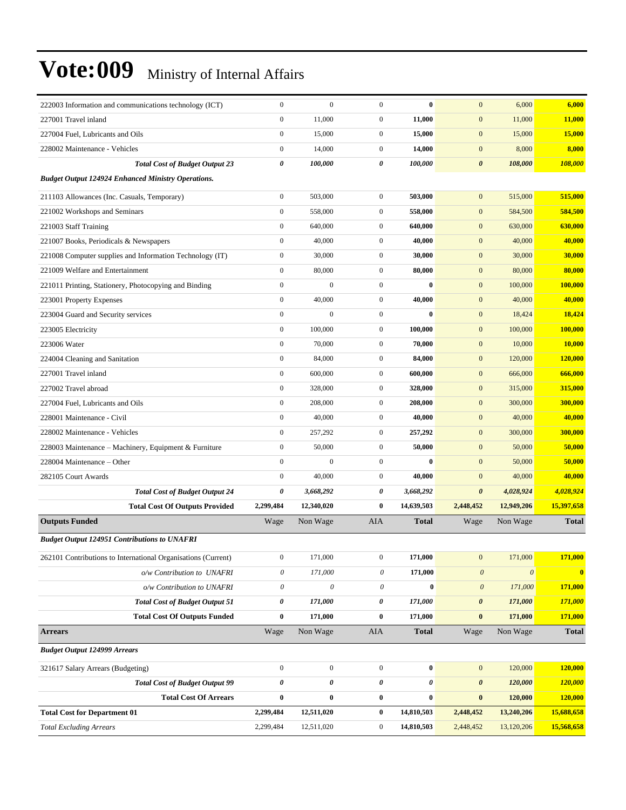| 222003 Information and communications technology (ICT)        | $\mathbf{0}$              | $\mathbf{0}$              | $\mathbf{0}$              | $\bf{0}$         | $\mathbf{0}$          | 6,000                 | 6,000          |
|---------------------------------------------------------------|---------------------------|---------------------------|---------------------------|------------------|-----------------------|-----------------------|----------------|
| 227001 Travel inland                                          | $\boldsymbol{0}$          | 11,000                    | $\boldsymbol{0}$          | 11,000           | $\boldsymbol{0}$      | 11,000                | 11,000         |
| 227004 Fuel, Lubricants and Oils                              | $\boldsymbol{0}$          | 15,000                    | $\boldsymbol{0}$          | 15,000           | $\mathbf{0}$          | 15,000                | 15,000         |
| 228002 Maintenance - Vehicles                                 | $\boldsymbol{0}$          | 14,000                    | $\boldsymbol{0}$          | 14,000           | $\boldsymbol{0}$      | 8,000                 | 8,000          |
| <b>Total Cost of Budget Output 23</b>                         | $\boldsymbol{\theta}$     | 100,000                   | $\theta$                  | 100,000          | $\boldsymbol{\theta}$ | 108,000               | 108,000        |
| <b>Budget Output 124924 Enhanced Ministry Operations.</b>     |                           |                           |                           |                  |                       |                       |                |
| 211103 Allowances (Inc. Casuals, Temporary)                   | $\boldsymbol{0}$          | 503,000                   | $\boldsymbol{0}$          | 503,000          | $\mathbf{0}$          | 515,000               | 515,000        |
| 221002 Workshops and Seminars                                 | $\boldsymbol{0}$          | 558,000                   | $\mathbf{0}$              | 558,000          | $\mathbf{0}$          | 584,500               | 584,500        |
| 221003 Staff Training                                         | $\boldsymbol{0}$          | 640,000                   | $\boldsymbol{0}$          | 640,000          | $\mathbf{0}$          | 630,000               | 630,000        |
| 221007 Books, Periodicals & Newspapers                        | $\boldsymbol{0}$          | 40,000                    | $\mathbf{0}$              | 40,000           | $\boldsymbol{0}$      | 40,000                | 40,000         |
| 221008 Computer supplies and Information Technology (IT)      | $\boldsymbol{0}$          | 30,000                    | $\boldsymbol{0}$          | 30,000           | $\boldsymbol{0}$      | 30,000                | 30,000         |
| 221009 Welfare and Entertainment                              | $\boldsymbol{0}$          | 80,000                    | $\boldsymbol{0}$          | 80,000           | $\boldsymbol{0}$      | 80,000                | 80,000         |
| 221011 Printing, Stationery, Photocopying and Binding         | $\boldsymbol{0}$          | $\mathbf{0}$              | $\boldsymbol{0}$          | $\bf{0}$         | $\mathbf{0}$          | 100,000               | 100,000        |
| 223001 Property Expenses                                      | $\boldsymbol{0}$          | 40,000                    | $\boldsymbol{0}$          | 40,000           | $\mathbf{0}$          | 40,000                | 40,000         |
| 223004 Guard and Security services                            | $\boldsymbol{0}$          | $\boldsymbol{0}$          | $\boldsymbol{0}$          | $\bf{0}$         | $\boldsymbol{0}$      | 18,424                | 18,424         |
| 223005 Electricity                                            | $\boldsymbol{0}$          | 100,000                   | $\boldsymbol{0}$          | 100,000          | $\boldsymbol{0}$      | 100,000               | 100,000        |
| 223006 Water                                                  | $\boldsymbol{0}$          | 70,000                    | $\boldsymbol{0}$          | 70,000           | $\mathbf{0}$          | 10,000                | <b>10,000</b>  |
| 224004 Cleaning and Sanitation                                | $\boldsymbol{0}$          | 84,000                    | $\mathbf{0}$              | 84,000           | $\mathbf{0}$          | 120,000               | 120,000        |
| 227001 Travel inland                                          | $\boldsymbol{0}$          | 600,000                   | $\boldsymbol{0}$          | 600,000          | $\mathbf{0}$          | 666,000               | 666,000        |
| 227002 Travel abroad                                          | $\boldsymbol{0}$          | 328,000                   | $\boldsymbol{0}$          | 328,000          | $\boldsymbol{0}$      | 315,000               | 315,000        |
| 227004 Fuel, Lubricants and Oils                              | $\boldsymbol{0}$          | 208,000                   | $\boldsymbol{0}$          | 208,000          | $\boldsymbol{0}$      | 300,000               | 300,000        |
| 228001 Maintenance - Civil                                    | $\boldsymbol{0}$          | 40,000                    | $\boldsymbol{0}$          | 40,000           | $\mathbf{0}$          | 40,000                | 40,000         |
| 228002 Maintenance - Vehicles                                 | $\boldsymbol{0}$          | 257,292                   | $\boldsymbol{0}$          | 257,292          | $\mathbf{0}$          | 300,000               | 300,000        |
| 228003 Maintenance - Machinery, Equipment & Furniture         | $\boldsymbol{0}$          | 50,000                    | $\boldsymbol{0}$          | 50,000           | $\mathbf{0}$          | 50,000                | 50,000         |
| 228004 Maintenance – Other                                    | $\boldsymbol{0}$          | $\boldsymbol{0}$          | $\boldsymbol{0}$          | $\bf{0}$         | $\boldsymbol{0}$      | 50,000                | 50,000         |
| 282105 Court Awards                                           | $\boldsymbol{0}$          | 40,000                    | $\mathbf{0}$              | 40,000           | $\mathbf{0}$          | 40,000                | 40,000         |
| <b>Total Cost of Budget Output 24</b>                         | 0                         | 3,668,292                 | 0                         | 3,668,292        | $\boldsymbol{\theta}$ | 4,028,924             | 4,028,924      |
| <b>Total Cost Of Outputs Provided</b>                         | 2,299,484                 | 12,340,020                | $\bf{0}$                  | 14,639,503       | 2,448,452             | 12,949,206            | 15,397,658     |
| <b>Outputs Funded</b>                                         | Wage                      | Non Wage                  | <b>AIA</b>                | <b>Total</b>     | Wage                  | Non Wage              | <b>Total</b>   |
| <b>Budget Output 124951 Contributions to UNAFRI</b>           |                           |                           |                           |                  |                       |                       |                |
| 262101 Contributions to International Organisations (Current) | $\boldsymbol{0}$          | 171,000                   | $\boldsymbol{0}$          | 171,000          | $\boldsymbol{0}$      | 171,000               | 171,000        |
| o/w Contribution to UNAFRI                                    | $\boldsymbol{\mathit{0}}$ | 171,000                   | $\theta$                  | 171,000          | $\boldsymbol{\theta}$ | $\boldsymbol{\theta}$ | $\mathbf{0}$   |
| o/w Contribution to UNAFRI                                    | $\boldsymbol{\mathit{0}}$ | $\boldsymbol{\mathit{0}}$ | $\boldsymbol{\mathit{0}}$ | $\bf{0}$         | $\boldsymbol{\theta}$ | 171,000               | 171,000        |
| <b>Total Cost of Budget Output 51</b>                         | $\pmb{\theta}$            | 171,000                   | $\pmb{\theta}$            | 171,000          | 0                     | 171,000               | 171,000        |
| <b>Total Cost Of Outputs Funded</b>                           | $\pmb{0}$                 | 171,000                   | $\bf{0}$                  | 171,000          | $\pmb{0}$             | 171,000               | 171,000        |
| <b>Arrears</b>                                                | Wage                      | Non Wage                  | AIA                       | <b>Total</b>     | Wage                  | Non Wage              | <b>Total</b>   |
|                                                               |                           |                           |                           |                  |                       |                       |                |
| <b>Budget Output 124999 Arrears</b>                           |                           |                           |                           |                  |                       |                       |                |
| 321617 Salary Arrears (Budgeting)                             | $\boldsymbol{0}$          | $\boldsymbol{0}$          | $\boldsymbol{0}$          | $\boldsymbol{0}$ | $\boldsymbol{0}$      | 120,000               | 120,000        |
| <b>Total Cost of Budget Output 99</b>                         | $\pmb{\theta}$            | 0                         | 0                         | 0                | $\pmb{\theta}$        | 120,000               | <b>120,000</b> |
| <b>Total Cost Of Arrears</b>                                  | $\pmb{0}$                 | $\pmb{0}$                 | $\boldsymbol{0}$          | $\boldsymbol{0}$ | $\bf{0}$              | 120,000               | 120,000        |
| <b>Total Cost for Department 01</b>                           | 2,299,484                 | 12,511,020                | $\bf{0}$                  | 14,810,503       | 2,448,452             | 13,240,206            | 15,688,658     |
| <b>Total Excluding Arrears</b>                                | 2,299,484                 | 12,511,020                | $\boldsymbol{0}$          | 14,810,503       | 2,448,452             | 13,120,206            | 15,568,658     |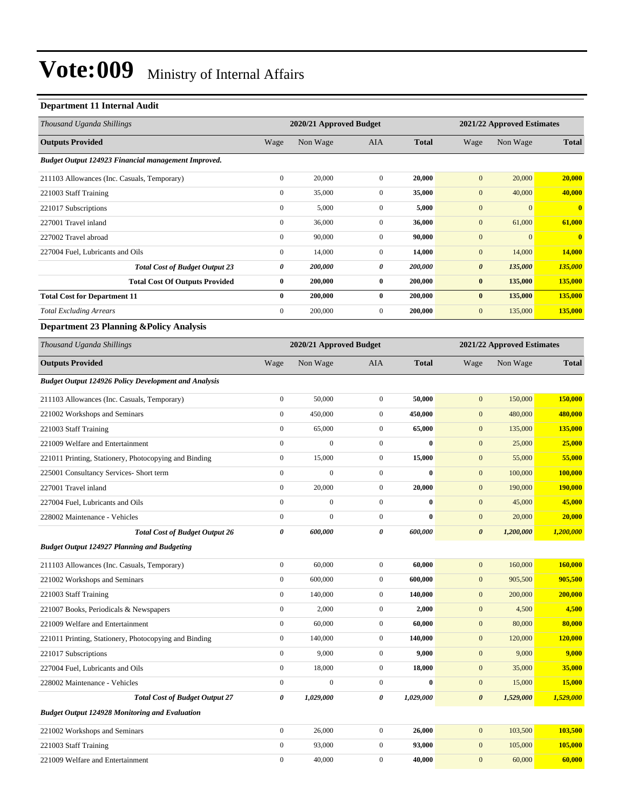### **Department 11 Internal Audit**

| Thousand Uganda Shillings                                   | 2020/21 Approved Budget |                         |                  | 2021/22 Approved Estimates |                            |              |              |  |
|-------------------------------------------------------------|-------------------------|-------------------------|------------------|----------------------------|----------------------------|--------------|--------------|--|
| <b>Outputs Provided</b>                                     | Wage                    | Non Wage                | AIA              | <b>Total</b>               | Wage                       | Non Wage     | <b>Total</b> |  |
| Budget Output 124923 Financial management Improved.         |                         |                         |                  |                            |                            |              |              |  |
| 211103 Allowances (Inc. Casuals, Temporary)                 | $\overline{0}$          | 20,000                  | $\boldsymbol{0}$ | 20,000                     | $\mathbf{0}$               | 20,000       | 20,000       |  |
| 221003 Staff Training                                       | $\boldsymbol{0}$        | 35,000                  | $\boldsymbol{0}$ | 35,000                     | $\mathbf{0}$               | 40,000       | 40,000       |  |
| 221017 Subscriptions                                        | $\boldsymbol{0}$        | 5,000                   | $\boldsymbol{0}$ | 5,000                      | $\mathbf{0}$               | $\mathbf{0}$ | $\bf{0}$     |  |
| 227001 Travel inland                                        | $\boldsymbol{0}$        | 36,000                  | $\boldsymbol{0}$ | 36,000                     | $\boldsymbol{0}$           | 61,000       | 61,000       |  |
| 227002 Travel abroad                                        | $\overline{0}$          | 90,000                  | $\boldsymbol{0}$ | 90,000                     | $\boldsymbol{0}$           | $\mathbf{0}$ | $\mathbf{0}$ |  |
| 227004 Fuel, Lubricants and Oils                            | $\boldsymbol{0}$        | 14,000                  | $\boldsymbol{0}$ | 14,000                     | $\boldsymbol{0}$           | 14,000       | 14,000       |  |
| <b>Total Cost of Budget Output 23</b>                       | 0                       | 200,000                 | 0                | 200,000                    | $\pmb{\theta}$             | 135,000      | 135,000      |  |
| <b>Total Cost Of Outputs Provided</b>                       | 0                       | 200,000                 | $\bf{0}$         | 200,000                    | $\bf{0}$                   | 135,000      | 135,000      |  |
| <b>Total Cost for Department 11</b>                         | $\bf{0}$                | 200,000                 | $\bf{0}$         | 200,000                    | $\pmb{0}$                  | 135,000      | 135,000      |  |
| <b>Total Excluding Arrears</b>                              | $\boldsymbol{0}$        | 200,000                 | $\boldsymbol{0}$ | 200,000                    | $\mathbf{0}$               | 135,000      | 135,000      |  |
| <b>Department 23 Planning &amp;Policy Analysis</b>          |                         |                         |                  |                            |                            |              |              |  |
| Thousand Uganda Shillings                                   |                         | 2020/21 Approved Budget |                  |                            | 2021/22 Approved Estimates |              |              |  |
| <b>Outputs Provided</b>                                     | Wage                    | Non Wage                | AIA              | <b>Total</b>               | Wage                       | Non Wage     | <b>Total</b> |  |
| <b>Budget Output 124926 Policy Development and Analysis</b> |                         |                         |                  |                            |                            |              |              |  |
| 211103 Allowances (Inc. Casuals, Temporary)                 | $\overline{0}$          | 50,000                  | $\boldsymbol{0}$ | 50,000                     | $\boldsymbol{0}$           | 150,000      | 150,000      |  |
| 221002 Workshops and Seminars                               | $\boldsymbol{0}$        | 450,000                 | $\boldsymbol{0}$ | 450,000                    | $\boldsymbol{0}$           | 480,000      | 480,000      |  |
| 221003 Staff Training                                       | $\boldsymbol{0}$        | 65,000                  | $\boldsymbol{0}$ | 65,000                     | $\mathbf{0}$               | 135,000      | 135,000      |  |
| 221009 Welfare and Entertainment                            | $\overline{0}$          | $\boldsymbol{0}$        | $\boldsymbol{0}$ | $\bf{0}$                   | $\boldsymbol{0}$           | 25,000       | 25,000       |  |
| 221011 Printing, Stationery, Photocopying and Binding       | $\boldsymbol{0}$        | 15,000                  | $\boldsymbol{0}$ | 15,000                     | $\mathbf{0}$               | 55,000       | 55,000       |  |
| 225001 Consultancy Services- Short term                     | $\boldsymbol{0}$        | $\Omega$                | $\boldsymbol{0}$ | $\bf{0}$                   | $\boldsymbol{0}$           | 100,000      | 100,000      |  |
| 227001 Travel inland                                        | $\boldsymbol{0}$        | 20,000                  | $\boldsymbol{0}$ | 20,000                     | $\boldsymbol{0}$           | 190,000      | 190,000      |  |
| 227004 Fuel, Lubricants and Oils                            | $\boldsymbol{0}$        | $\mathbf{0}$            | $\boldsymbol{0}$ | $\bf{0}$                   | $\boldsymbol{0}$           | 45,000       | 45,000       |  |
| 228002 Maintenance - Vehicles                               | $\overline{0}$          | $\mathbf{0}$            | $\boldsymbol{0}$ | $\bf{0}$                   | $\mathbf{0}$               | 20,000       | 20,000       |  |
| <b>Total Cost of Budget Output 26</b>                       | 0                       | 600,000                 | 0                | 600,000                    | $\boldsymbol{\theta}$      | 1,200,000    | 1,200,000    |  |
| <b>Budget Output 124927 Planning and Budgeting</b>          |                         |                         |                  |                            |                            |              |              |  |
| 211103 Allowances (Inc. Casuals, Temporary)                 | $\boldsymbol{0}$        | 60,000                  | $\boldsymbol{0}$ | 60,000                     | $\mathbf{0}$               | 160,000      | 160,000      |  |
| 221002 Workshops and Seminars                               | $\boldsymbol{0}$        | 600,000                 | $\boldsymbol{0}$ | 600,000                    | $\boldsymbol{0}$           | 905,500      | 905,500      |  |
| 221003 Staff Training                                       | $\overline{0}$          | 140,000                 | $\boldsymbol{0}$ | 140,000                    | $\boldsymbol{0}$           | 200,000      | 200,000      |  |
| 221007 Books, Periodicals & Newspapers                      | $\boldsymbol{0}$        | 2,000                   | $\boldsymbol{0}$ | 2,000                      | $\boldsymbol{0}$           | 4,500        | 4,500        |  |
| 221009 Welfare and Entertainment                            | $\boldsymbol{0}$        | 60,000                  | $\boldsymbol{0}$ | 60,000                     | $\boldsymbol{0}$           | 80,000       | 80,000       |  |
| 221011 Printing, Stationery, Photocopying and Binding       | $\boldsymbol{0}$        | 140,000                 | $\boldsymbol{0}$ | 140,000                    | $\boldsymbol{0}$           | 120,000      | 120,000      |  |
| 221017 Subscriptions                                        | $\boldsymbol{0}$        | 9,000                   | $\boldsymbol{0}$ | 9,000                      | $\boldsymbol{0}$           | 9,000        | 9,000        |  |
| 227004 Fuel, Lubricants and Oils                            | $\overline{0}$          | 18,000                  | $\boldsymbol{0}$ | 18,000                     | $\boldsymbol{0}$           | 35,000       | 35,000       |  |
| 228002 Maintenance - Vehicles                               | $\boldsymbol{0}$        | $\boldsymbol{0}$        | $\boldsymbol{0}$ | $\pmb{0}$                  | $\boldsymbol{0}$           | 15,000       | 15,000       |  |
| <b>Total Cost of Budget Output 27</b>                       | 0                       | 1,029,000               | $\pmb{\theta}$   | 1,029,000                  | $\boldsymbol{\theta}$      | 1,529,000    | 1,529,000    |  |
| <b>Budget Output 124928 Monitoring and Evaluation</b>       |                         |                         |                  |                            |                            |              |              |  |
| 221002 Workshops and Seminars                               | $\boldsymbol{0}$        | 26,000                  | $\boldsymbol{0}$ | 26,000                     | $\boldsymbol{0}$           | 103,500      | 103,500      |  |
| 221003 Staff Training                                       | $\boldsymbol{0}$        | 93,000                  | $\boldsymbol{0}$ | 93,000                     | $\mathbf{0}$               | 105,000      | 105,000      |  |
| 221009 Welfare and Entertainment                            | $\boldsymbol{0}$        | 40,000                  | $\boldsymbol{0}$ | 40,000                     | $\boldsymbol{0}$           | 60,000       | 60,000       |  |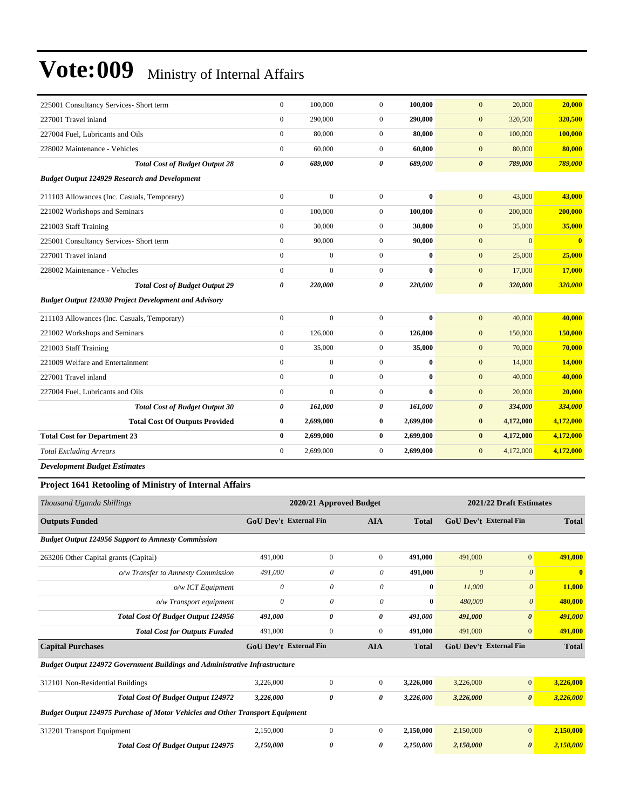| 225001 Consultancy Services- Short term                      | $\mathbf{0}$     | 100,000      | $\overline{0}$   | 100,000      | $\mathbf{0}$<br>20,000           | 20,000    |
|--------------------------------------------------------------|------------------|--------------|------------------|--------------|----------------------------------|-----------|
| 227001 Travel inland                                         | $\mathbf{0}$     | 290,000      | $\overline{0}$   | 290,000      | $\mathbf{0}$<br>320,500          | 320,500   |
| 227004 Fuel, Lubricants and Oils                             | $\mathbf{0}$     | 80,000       | $\overline{0}$   | 80,000       | 100,000<br>$\mathbf{0}$          | 100,000   |
| 228002 Maintenance - Vehicles                                | $\mathbf{0}$     | 60,000       | $\overline{0}$   | 60,000       | $\mathbf{0}$<br>80,000           | 80,000    |
| <b>Total Cost of Budget Output 28</b>                        | $\pmb{\theta}$   | 689,000      | 0                | 689,000      | 789,000<br>$\boldsymbol{\theta}$ | 789,000   |
| <b>Budget Output 124929 Research and Development</b>         |                  |              |                  |              |                                  |           |
| 211103 Allowances (Inc. Casuals, Temporary)                  | $\boldsymbol{0}$ | $\mathbf{0}$ | $\mathbf{0}$     | $\bf{0}$     | $\mathbf{0}$<br>43,000           | 43,000    |
| 221002 Workshops and Seminars                                | $\mathbf{0}$     | 100,000      | $\overline{0}$   | 100,000      | $\mathbf{0}$<br>200,000          | 200,000   |
| 221003 Staff Training                                        | $\boldsymbol{0}$ | 30,000       | $\boldsymbol{0}$ | 30,000       | 35,000<br>$\boldsymbol{0}$       | 35,000    |
| 225001 Consultancy Services- Short term                      | $\mathbf{0}$     | 90,000       | $\overline{0}$   | 90,000       | $\mathbf{0}$<br>$\mathbf{0}$     | $\bf{0}$  |
| 227001 Travel inland                                         | $\mathbf{0}$     | $\mathbf{0}$ | $\overline{0}$   | $\bf{0}$     | 25,000<br>$\mathbf{0}$           | 25,000    |
| 228002 Maintenance - Vehicles                                | $\boldsymbol{0}$ | $\mathbf{0}$ | $\overline{0}$   | $\bf{0}$     | $\mathbf{0}$<br>17,000           | 17,000    |
| <b>Total Cost of Budget Output 29</b>                        | $\pmb{\theta}$   | 220,000      | 0                | 220,000      | 320,000<br>$\boldsymbol{\theta}$ | 320,000   |
| <b>Budget Output 124930 Project Development and Advisory</b> |                  |              |                  |              |                                  |           |
| 211103 Allowances (Inc. Casuals, Temporary)                  | $\mathbf{0}$     | $\Omega$     | $\Omega$         | $\mathbf{0}$ | $\mathbf{0}$<br>40,000           | 40,000    |
| 221002 Workshops and Seminars                                | $\mathbf{0}$     | 126,000      | $\overline{0}$   | 126,000      | $\mathbf{0}$<br>150,000          | 150,000   |
| 221003 Staff Training                                        | $\mathbf{0}$     | 35,000       | $\mathbf{0}$     | 35,000       | $\mathbf{0}$<br>70,000           | 70,000    |
| 221009 Welfare and Entertainment                             | $\mathbf{0}$     | $\mathbf{0}$ | $\overline{0}$   | $\bf{0}$     | 14,000<br>$\mathbf{0}$           | 14,000    |
| 227001 Travel inland                                         | $\mathbf{0}$     | $\mathbf{0}$ | $\overline{0}$   | $\bf{0}$     | $\mathbf{0}$<br>40,000           | 40,000    |
| 227004 Fuel, Lubricants and Oils                             | $\mathbf{0}$     | $\mathbf{0}$ | $\overline{0}$   | $\bf{0}$     | $\mathbf{0}$<br>20,000           | 20,000    |
| <b>Total Cost of Budget Output 30</b>                        | 0                | 161,000      | 0                | 161,000      | 334,000<br>$\boldsymbol{\theta}$ | 334,000   |
| <b>Total Cost Of Outputs Provided</b>                        | $\bf{0}$         | 2,699,000    | $\bf{0}$         | 2,699,000    | 4,172,000<br>$\bf{0}$            | 4,172,000 |
| <b>Total Cost for Department 23</b>                          | $\bf{0}$         | 2,699,000    | $\bf{0}$         | 2,699,000    | $\bf{0}$<br>4,172,000            | 4,172,000 |
| <b>Total Excluding Arrears</b>                               | $\mathbf{0}$     | 2,699,000    | $\mathbf{0}$     | 2,699,000    | $\mathbf{0}$<br>4,172,000        | 4,172,000 |
| <b>Development Budget Estimates</b>                          |                  |              |                  |              |                                  |           |

#### **Project 1641 Retooling of Ministry of Internal Affairs**

| Thousand Uganda Shillings                                                            | 2020/21 Approved Budget       |              |                |              | 2021/22 Draft Estimates       |                       |              |  |
|--------------------------------------------------------------------------------------|-------------------------------|--------------|----------------|--------------|-------------------------------|-----------------------|--------------|--|
| <b>Outputs Funded</b>                                                                | GoU Dev't External Fin        |              | <b>AIA</b>     | <b>Total</b> | <b>GoU</b> Dev't External Fin |                       | <b>Total</b> |  |
| <b>Budget Output 124956 Support to Amnesty Commission</b>                            |                               |              |                |              |                               |                       |              |  |
| 263206 Other Capital grants (Capital)                                                | 491,000                       | $\Omega$     | $\theta$       | 491,000      | 491,000                       | $\overline{0}$        | 491,000      |  |
| o/w Transfer to Amnesty Commission                                                   | 491.000                       | 0            | $\theta$       | 491,000      | $\theta$                      | $\theta$              | $\mathbf{0}$ |  |
| $o/w$ ICT Equipment                                                                  | $\theta$                      | 0            | 0              | $\bf{0}$     | 11.000                        | $\theta$              | 11,000       |  |
| o/w Transport equipment                                                              | 0                             | 0            | 0              | $\bf{0}$     | 480,000                       | $\theta$              | 480,000      |  |
| Total Cost Of Budget Output 124956                                                   | 491,000                       | 0            | 0              | 491,000      | 491,000                       | $\boldsymbol{\theta}$ | 491,000      |  |
| <b>Total Cost for Outputs Funded</b>                                                 | 491,000                       | $\mathbf{0}$ | $\overline{0}$ | 491,000      | 491,000                       | $\overline{0}$        | 491,000      |  |
| <b>Capital Purchases</b>                                                             | <b>GoU Dev't External Fin</b> |              | AIA            | <b>Total</b> | <b>GoU Dev't External Fin</b> |                       | <b>Total</b> |  |
| <b>Budget Output 124972 Government Buildings and Administrative Infrastructure</b>   |                               |              |                |              |                               |                       |              |  |
| 312101 Non-Residential Buildings                                                     | 3,226,000                     | $\Omega$     | $\Omega$       | 3,226,000    | 3,226,000                     | $\overline{0}$        | 3,226,000    |  |
| <b>Total Cost Of Budget Output 124972</b>                                            | 3,226,000                     | 0            | 0              | 3,226,000    | 3,226,000                     | 0                     | 3,226,000    |  |
| <b>Budget Output 124975 Purchase of Motor Vehicles and Other Transport Equipment</b> |                               |              |                |              |                               |                       |              |  |
| 312201 Transport Equipment                                                           | 2.150,000                     | $\Omega$     | $\overline{0}$ | 2.150.000    | 2.150,000                     | $\overline{0}$        | 2.150,000    |  |
| Total Cost Of Budget Output 124975                                                   | 2,150,000                     | 0            | 0              | 2,150,000    | 2,150,000                     | $\boldsymbol{\theta}$ | 2,150,000    |  |